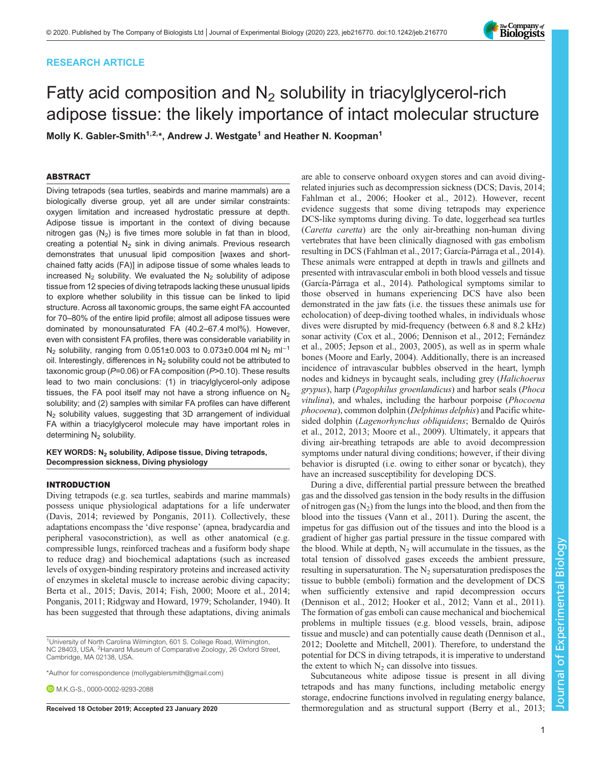# RESEARCH ARTICLE



# Fatty acid composition and  $N<sub>2</sub>$  solubility in triacylglycerol-rich adipose tissue: the likely importance of intact molecular structure

Molly K. Gabler-Smith<sup>1,2,\*</sup>, Andrew J. Westgate<sup>1</sup> and Heather N. Koopman<sup>1</sup>

# ABSTRACT

Diving tetrapods (sea turtles, seabirds and marine mammals) are a biologically diverse group, yet all are under similar constraints: oxygen limitation and increased hydrostatic pressure at depth. Adipose tissue is important in the context of diving because nitrogen gas  $(N_2)$  is five times more soluble in fat than in blood, creating a potential  $N_2$  sink in diving animals. Previous research demonstrates that unusual lipid composition [waxes and shortchained fatty acids (FA)] in adipose tissue of some whales leads to increased  $N_2$  solubility. We evaluated the  $N_2$  solubility of adipose tissue from 12 species of diving tetrapods lacking these unusual lipids to explore whether solubility in this tissue can be linked to lipid structure. Across all taxonomic groups, the same eight FA accounted for 70–80% of the entire lipid profile; almost all adipose tissues were dominated by monounsaturated FA (40.2–67.4 mol%). However, even with consistent FA profiles, there was considerable variability in N<sub>2</sub> solubility, ranging from 0.051±0.003 to 0.073±0.004 ml N<sub>2</sub> ml<sup>-1</sup> oil. Interestingly, differences in  $N_2$  solubility could not be attributed to taxonomic group ( $P=0.06$ ) or FA composition ( $P>0.10$ ). These results lead to two main conclusions: (1) in triacylglycerol-only adipose tissues, the FA pool itself may not have a strong influence on  $N_2$ solubility; and (2) samples with similar FA profiles can have different N<sub>2</sub> solubility values, suggesting that 3D arrangement of individual FA within a triacylglycerol molecule may have important roles in determining  $N_2$  solubility.

## KEY WORDS: N<sub>2</sub> solubility, Adipose tissue, Diving tetrapods, Decompression sickness, Diving physiology

#### INTRODUCTION

Diving tetrapods (e.g. sea turtles, seabirds and marine mammals) possess unique physiological adaptations for a life underwater [\(Davis, 2014;](#page-10-0) reviewed by [Ponganis, 2011](#page-12-0)). Collectively, these adaptations encompass the 'dive response' (apnea, bradycardia and peripheral vasoconstriction), as well as other anatomical (e.g. compressible lungs, reinforced tracheas and a fusiform body shape to reduce drag) and biochemical adaptations (such as increased levels of oxygen-binding respiratory proteins and increased activity of enzymes in skeletal muscle to increase aerobic diving capacity; [Berta et al., 2015; Davis, 2014;](#page-10-0) [Fish, 2000; Moore et al., 2014](#page-11-0); [Ponganis, 2011](#page-12-0); [Ridgway and Howard, 1979; Scholander, 1940\)](#page-12-0). It has been suggested that through these adaptations, diving animals

are able to conserve onboard oxygen stores and can avoid divingrelated injuries such as decompression sickness (DCS; [Davis, 2014](#page-10-0); [Fahlman et al., 2006;](#page-10-0) [Hooker et al., 2012](#page-11-0)). However, recent evidence suggests that some diving tetrapods may experience DCS-like symptoms during diving. To date, loggerhead sea turtles (Caretta caretta) are the only air-breathing non-human diving vertebrates that have been clinically diagnosed with gas embolism resulting in DCS [\(Fahlman et al., 2017;](#page-10-0) [García-Párraga et al., 2014\)](#page-11-0). These animals were entrapped at depth in trawls and gillnets and presented with intravascular emboli in both blood vessels and tissue [\(García-Párraga et al., 2014](#page-11-0)). Pathological symptoms similar to those observed in humans experiencing DCS have also been demonstrated in the jaw fats (i.e. the tissues these animals use for echolocation) of deep-diving toothed whales, in individuals whose dives were disrupted by mid-frequency (between 6.8 and 8.2 kHz) sonar activity [\(Cox et al., 2006](#page-10-0); [Dennison et al., 2012](#page-10-0); [Fernández](#page-10-0) [et al., 2005](#page-10-0); [Jepson et al., 2003](#page-11-0), [2005\)](#page-11-0), as well as in sperm whale bones ([Moore and Early, 2004](#page-11-0)). Additionally, there is an increased incidence of intravascular bubbles observed in the heart, lymph nodes and kidneys in bycaught seals, including grey (Halichoerus grypus), harp (Pagophilus groenlandicus) and harbor seals (Phoca vitulina), and whales, including the harbour porpoise (Phocoena phocoena), common dolphin (Delphinus delphis) and Pacific whitesided dolphin (Lagenorhynchus obliquidens; [Bernaldo de Quirós](#page-10-0) [et al., 2012](#page-10-0), [2013;](#page-10-0) [Moore et al., 2009\)](#page-11-0). Ultimately, it appears that diving air-breathing tetrapods are able to avoid decompression symptoms under natural diving conditions; however, if their diving behavior is disrupted (i.e. owing to either sonar or bycatch), they have an increased susceptibility for developing DCS.

During a dive, differential partial pressure between the breathed gas and the dissolved gas tension in the body results in the diffusion of nitrogen gas  $(N_2)$  from the lungs into the blood, and then from the blood into the tissues ([Vann et al., 2011](#page-12-0)). During the ascent, the impetus for gas diffusion out of the tissues and into the blood is a gradient of higher gas partial pressure in the tissue compared with the blood. While at depth,  $N_2$  will accumulate in the tissues, as the total tension of dissolved gases exceeds the ambient pressure, resulting in supersaturation. The  $N_2$  supersaturation predisposes the tissue to bubble (emboli) formation and the development of DCS when sufficiently extensive and rapid decompression occurs [\(Dennison et al., 2012](#page-10-0); [Hooker et al., 2012](#page-11-0); [Vann et al., 2011\)](#page-12-0). The formation of gas emboli can cause mechanical and biochemical problems in multiple tissues (e.g. blood vessels, brain, adipose tissue and muscle) and can potentially cause death [\(Dennison et al.,](#page-10-0) [2012; Doolette and Mitchell, 2001](#page-10-0)). Therefore, to understand the potential for DCS in diving tetrapods, it is imperative to understand the extent to which  $N_2$  can dissolve into tissues.

Subcutaneous white adipose tissue is present in all diving tetrapods and has many functions, including metabolic energy storage, endocrine functions involved in regulating energy balance, Received 18 October 2019; Accepted 23 January 2020 thermoregulation and as structural support ([Berry et al., 2013](#page-10-0);

<sup>&</sup>lt;sup>1</sup>University of North Carolina Wilmington, 601 S. College Road, Wilmington, NC 28403, USA. <sup>2</sup> Harvard Museum of Comparative Zoology, 26 Oxford Street, Cambridge, MA 02138, USA.

<sup>\*</sup>Author for correspondence [\(mollygablersmith@gmail.com](mailto:mollygablersmith@gmail.com))

**D.** M. K. G-S., [0000-0002-9293-2088](http://orcid.org/0000-0002-9293-2088)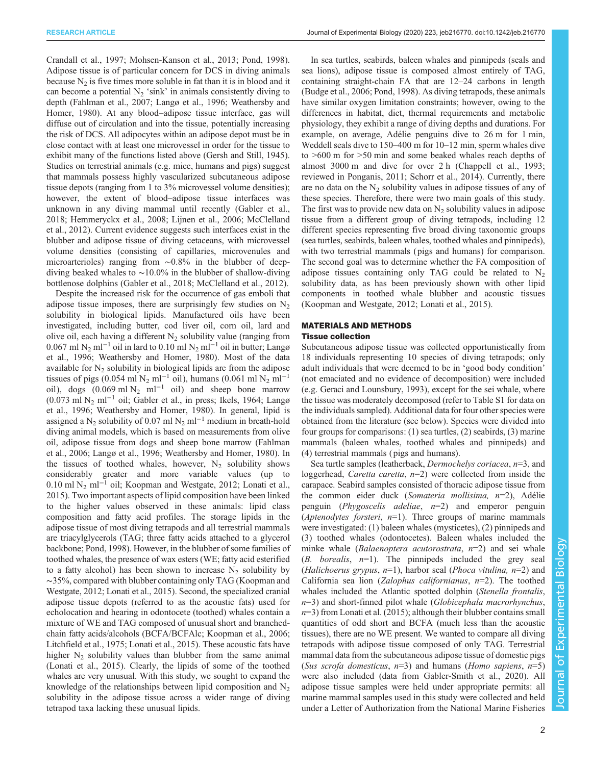[Crandall et al., 1997;](#page-10-0) [Mohsen-Kanson et al., 2013](#page-11-0); [Pond, 1998\)](#page-12-0). Adipose tissue is of particular concern for DCS in diving animals because  $N<sub>2</sub>$  is five times more soluble in fat than it is in blood and it can become a potential  $N_2$  'sink' in animals consistently diving to depth [\(Fahlman et al., 2007;](#page-10-0) [Langø et al., 1996;](#page-11-0) [Weathersby and](#page-12-0) [Homer, 1980](#page-12-0)). At any blood–adipose tissue interface, gas will diffuse out of circulation and into the tissue, potentially increasing the risk of DCS. All adipocytes within an adipose depot must be in close contact with at least one microvessel in order for the tissue to exhibit many of the functions listed above [\(Gersh and Still, 1945\)](#page-11-0). Studies on terrestrial animals (e.g. mice, humans and pigs) suggest that mammals possess highly vascularized subcutaneous adipose tissue depots (ranging from 1 to 3% microvessel volume densities); however, the extent of blood–adipose tissue interfaces was unknown in any diving mammal until recently [\(Gabler et al.,](#page-11-0) [2018](#page-11-0); [Hemmeryckx et al., 2008; Lijnen et al., 2006; McClelland](#page-11-0) [et al., 2012](#page-11-0)). Current evidence suggests such interfaces exist in the blubber and adipose tissue of diving cetaceans, with microvessel volume densities (consisting of capillaries, microvenules and microarterioles) ranging from ∼0.8% in the blubber of deepdiving beaked whales to ∼10.0% in the blubber of shallow-diving bottlenose dolphins ([Gabler et al., 2018](#page-11-0); [McClelland et al., 2012](#page-11-0)).

Despite the increased risk for the occurrence of gas emboli that adipose tissue imposes, there are surprisingly few studies on  $N_2$ solubility in biological lipids. Manufactured oils have been investigated, including butter, cod liver oil, corn oil, lard and olive oil, each having a different  $N<sub>2</sub>$  solubility value (ranging from 0.067 ml N<sub>2</sub> ml<sup>-1</sup> oil in lard to 0.10 ml N<sub>2</sub> ml<sup>-1</sup> oil in butter; [Langø](#page-11-0) [et al., 1996;](#page-11-0) [Weathersby and Homer, 1980\)](#page-12-0). Most of the data available for  $N_2$  solubility in biological lipids are from the adipose tissues of pigs (0.054 ml N<sub>2</sub> ml<sup>-1</sup> oil), humans (0.061 ml N<sub>2</sub> ml<sup>-1</sup> oil), dogs  $(0.069 \text{ ml N}_2 \text{ ml}^{-1} \text{ oil})$  and sheep bone marrow  $(0.073 \text{ ml N}_2 \text{ ml}^{-1} \text{ oil}$ ; [Gabler et al., in press](#page-11-0); [Ikels, 1964; Langø](#page-11-0) [et al., 1996](#page-11-0); [Weathersby and Homer, 1980](#page-12-0)). In general, lipid is assigned a N<sub>2</sub> solubility of 0.07 ml N<sub>2</sub> ml<sup>-1</sup> medium in breath-hold diving animal models, which is based on measurements from olive oil, adipose tissue from dogs and sheep bone marrow [\(Fahlman](#page-10-0) [et al., 2006;](#page-10-0) [Langø et al., 1996](#page-11-0); [Weathersby and Homer, 1980](#page-12-0)). In the tissues of toothed whales, however,  $N_2$  solubility shows considerably greater and more variable values (up to 0.10 ml N2 ml−<sup>1</sup> oil; [Koopman and Westgate, 2012; Lonati et al.,](#page-11-0) [2015](#page-11-0)). Two important aspects of lipid composition have been linked to the higher values observed in these animals: lipid class composition and fatty acid profiles. The storage lipids in the adipose tissue of most diving tetrapods and all terrestrial mammals are triacylglycerols (TAG; three fatty acids attached to a glycerol backbone; [Pond, 1998\)](#page-12-0). However, in the blubber of some families of toothed whales, the presence of wax esters (WE; fatty acid esterified to a fatty alcohol) has been shown to increase  $N_2$  solubility by ∼35%, compared with blubber containing only TAG [\(Koopman and](#page-11-0) [Westgate, 2012; Lonati et al., 2015\)](#page-11-0). Second, the specialized cranial adipose tissue depots (referred to as the acoustic fats) used for echolocation and hearing in odontocete (toothed) whales contain a mixture of WE and TAG composed of unusual short and branchedchain fatty acids/alcohols (BCFA/BCFAlc; [Koopman et al., 2006](#page-11-0); [Litchfield et al., 1975; Lonati et al., 2015](#page-11-0)). These acoustic fats have higher  $N_2$  solubility values than blubber from the same animal [\(Lonati et al., 2015\)](#page-11-0). Clearly, the lipids of some of the toothed whales are very unusual. With this study, we sought to expand the knowledge of the relationships between lipid composition and  $N_2$ solubility in the adipose tissue across a wider range of diving tetrapod taxa lacking these unusual lipids.

In sea turtles, seabirds, baleen whales and pinnipeds (seals and sea lions), adipose tissue is composed almost entirely of TAG, containing straight-chain FA that are 12–24 carbons in length [\(Budge et al., 2006;](#page-10-0) [Pond, 1998\)](#page-12-0). As diving tetrapods, these animals have similar oxygen limitation constraints; however, owing to the differences in habitat, diet, thermal requirements and metabolic physiology, they exhibit a range of diving depths and durations. For example, on average, Adélie penguins dive to 26 m for 1 min, Weddell seals dive to 150–400 m for 10–12 min, sperm whales dive to >600 m for >50 min and some beaked whales reach depths of almost 3000 m and dive for over 2 h [\(Chappell et al., 1993](#page-10-0); reviewed in [Ponganis, 2011; Schorr et al., 2014\)](#page-12-0). Currently, there are no data on the  $N_2$  solubility values in adipose tissues of any of these species. Therefore, there were two main goals of this study. The first was to provide new data on  $N<sub>2</sub>$  solubility values in adipose tissue from a different group of diving tetrapods, including 12 different species representing five broad diving taxonomic groups (sea turtles, seabirds, baleen whales, toothed whales and pinnipeds), with two terrestrial mammals ( pigs and humans) for comparison. The second goal was to determine whether the FA composition of adipose tissues containing only TAG could be related to  $N<sub>2</sub>$ solubility data, as has been previously shown with other lipid components in toothed whale blubber and acoustic tissues [\(Koopman and Westgate, 2012; Lonati et al., 2015\)](#page-11-0).

# MATERIALS AND METHODS Tissue collection

Subcutaneous adipose tissue was collected opportunistically from 18 individuals representing 10 species of diving tetrapods; only adult individuals that were deemed to be in 'good body condition' (not emaciated and no evidence of decomposition) were included (e.g. [Geraci and Lounsbury, 1993\)](#page-11-0), except for the sei whale, where the tissue was moderately decomposed (refer to [Table S1](http://jeb.biologists.org/lookup/doi/10.1242/jeb.216770.supplemental) for data on the individuals sampled). Additional data for four other species were obtained from the literature (see below). Species were divided into four groups for comparisons: (1) sea turtles, (2) seabirds, (3) marine mammals (baleen whales, toothed whales and pinnipeds) and (4) terrestrial mammals ( pigs and humans).

Sea turtle samples (leatherback, *Dermochelys coriacea*,  $n=3$ , and loggerhead, *Caretta caretta*,  $n=2$ ) were collected from inside the carapace. Seabird samples consisted of thoracic adipose tissue from the common eider duck (Somateria mollisima, n=2), Adélie penguin (*Phygoscelis adeliae*,  $n=2$ ) and emperor penguin (*Aptenodytes forsteri*,  $n=1$ ). Three groups of marine mammals were investigated: (1) baleen whales (mysticetes), (2) pinnipeds and (3) toothed whales (odontocetes). Baleen whales included the minke whale (Balaenoptera acutorostrata,  $n=2$ ) and sei whale  $(B. *borealis*,  $n=1$ ). The pinningeds included the grey seal$ (Halichoerus grypus,  $n=1$ ), harbor seal (Phoca vitulina,  $n=2$ ) and California sea lion (Zalophus californianus,  $n=2$ ). The toothed whales included the Atlantic spotted dolphin (Stenella frontalis,  $n=3$ ) and short-finned pilot whale (Globicephala macrorhynchus,  $n=3$ ) from [Lonati et al. \(2015\)](#page-11-0); although their blubber contains small quantities of odd short and BCFA (much less than the acoustic tissues), there are no WE present. We wanted to compare all diving tetrapods with adipose tissue composed of only TAG. Terrestrial mammal data from the subcutaneous adipose tissue of domestic pigs (Sus scrofa domesticus,  $n=3$ ) and humans (Homo sapiens,  $n=5$ ) were also included (data from [Gabler-Smith et al., 2020\)](#page-11-0). All adipose tissue samples were held under appropriate permits: all marine mammal samples used in this study were collected and held under a Letter of Authorization from the National Marine Fisheries

Journal of Experimental BiologyJournal of Experimental Biology

2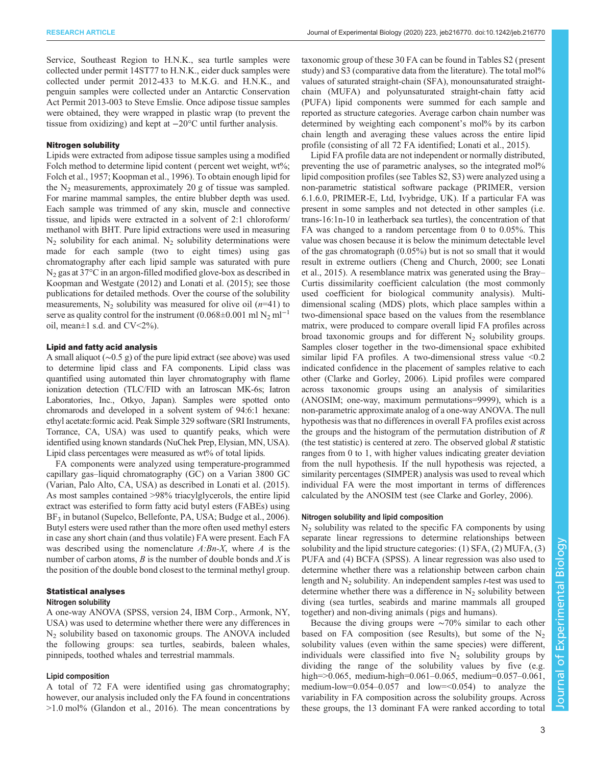Service, Southeast Region to H.N.K., sea turtle samples were collected under permit 14ST77 to H.N.K., eider duck samples were collected under permit 2012-433 to M.K.G. and H.N.K., and penguin samples were collected under an Antarctic Conservation Act Permit 2013-003 to Steve Emslie. Once adipose tissue samples were obtained, they were wrapped in plastic wrap (to prevent the tissue from oxidizing) and kept at −20°C until further analysis.

### Nitrogen solubility

Lipids were extracted from adipose tissue samples using a modified Folch method to determine lipid content (percent wet weight, wt%; [Folch et al., 1957; Koopman et al., 1996\)](#page-11-0). To obtain enough lipid for the  $N_2$  measurements, approximately 20 g of tissue was sampled. For marine mammal samples, the entire blubber depth was used. Each sample was trimmed of any skin, muscle and connective tissue, and lipids were extracted in a solvent of 2:1 chloroform/ methanol with BHT. Pure lipid extractions were used in measuring  $N_2$  solubility for each animal.  $N_2$  solubility determinations were made for each sample (two to eight times) using gas chromatography after each lipid sample was saturated with pure  $N<sub>2</sub>$  gas at 37 $\degree$ C in an argon-filled modified glove-box as described in [Koopman and Westgate \(2012\)](#page-11-0) and [Lonati et al. \(2015\);](#page-11-0) see those publications for detailed methods. Over the course of the solubility measurements,  $N_2$  solubility was measured for olive oil ( $n=41$ ) to serve as quality control for the instrument (0.068±0.001 ml  $N_2$  ml<sup>-1</sup> oil, mean $\pm 1$  s.d. and CV<2%).

# Lipid and fatty acid analysis

A small aliquot (∼0.5 g) of the pure lipid extract (see above) was used to determine lipid class and FA components. Lipid class was quantified using automated thin layer chromatography with flame ionization detection (TLC/FID with an Iatroscan MK-6s; Iatron Laboratories, Inc., Otkyo, Japan). Samples were spotted onto chromarods and developed in a solvent system of 94:6:1 hexane: ethyl acetate:formic acid. Peak Simple 329 software (SRI Instruments, Torrance, CA, USA) was used to quantify peaks, which were identified using known standards (NuChek Prep, Elysian, MN, USA). Lipid class percentages were measured as wt% of total lipids.

FA components were analyzed using temperature-programmed capillary gas–liquid chromatography (GC) on a Varian 3800 GC (Varian, Palo Alto, CA, USA) as described in [Lonati et al. \(2015\).](#page-11-0) As most samples contained >98% triacylglycerols, the entire lipid extract was esterified to form fatty acid butyl esters (FABEs) using  $BF_3$  in butanol (Supelco, Bellefonte, PA, USA; [Budge et al., 2006\)](#page-10-0). Butyl esters were used rather than the more often used methyl esters in case any short chain (and thus volatile) FA were present. Each FA was described using the nomenclature  $A:Bn-X$ , where A is the number of carbon atoms,  $B$  is the number of double bonds and  $X$  is the position of the double bond closest to the terminal methyl group.

## Statistical analyses

#### Nitrogen solubility

A one-way ANOVA (SPSS, version 24, IBM Corp., Armonk, NY, USA) was used to determine whether there were any differences in  $N_2$  solubility based on taxonomic groups. The ANOVA included the following groups: sea turtles, seabirds, baleen whales, pinnipeds, toothed whales and terrestrial mammals.

#### Lipid composition

A total of 72 FA were identified using gas chromatography; however, our analysis included only the FA found in concentrations >1.0 mol% [\(Glandon et al., 2016](#page-11-0)). The mean concentrations by taxonomic group of these 30 FA can be found in [Tables S2](http://jeb.biologists.org/lookup/doi/10.1242/jeb.216770.supplemental) ( present study) and [S3](http://jeb.biologists.org/lookup/doi/10.1242/jeb.216770.supplemental) (comparative data from the literature). The total mol<sup>1%</sup> values of saturated straight-chain (SFA), monounsaturated straightchain (MUFA) and polyunsaturated straight-chain fatty acid (PUFA) lipid components were summed for each sample and reported as structure categories. Average carbon chain number was determined by weighting each component's mol% by its carbon chain length and averaging these values across the entire lipid profile (consisting of all 72 FA identified; [Lonati et al., 2015](#page-11-0)).

Lipid FA profile data are not independent or normally distributed, preventing the use of parametric analyses, so the integrated mol% lipid composition profiles (see [Tables S2](http://jeb.biologists.org/lookup/doi/10.1242/jeb.216770.supplemental), [S3\)](http://jeb.biologists.org/lookup/doi/10.1242/jeb.216770.supplemental) were analyzed using a non-parametric statistical software package (PRIMER, version 6.1.6.0, PRIMER-E, Ltd, Ivybridge, UK). If a particular FA was present in some samples and not detected in other samples (i.e. trans-16:1n-10 in leatherback sea turtles), the concentration of that FA was changed to a random percentage from 0 to 0.05%. This value was chosen because it is below the minimum detectable level of the gas chromatograph (0.05%) but is not so small that it would result in extreme outliers [\(Cheng and Church, 2000;](#page-10-0) see [Lonati](#page-11-0) [et al., 2015](#page-11-0)). A resemblance matrix was generated using the Bray– Curtis dissimilarity coefficient calculation (the most commonly used coefficient for biological community analysis). Multidimensional scaling (MDS) plots, which place samples within a two-dimensional space based on the values from the resemblance matrix, were produced to compare overall lipid FA profiles across broad taxonomic groups and for different  $N<sub>2</sub>$  solubility groups. Samples closer together in the two-dimensional space exhibited similar lipid FA profiles. A two-dimensional stress value  $\leq 0.2$ indicated confidence in the placement of samples relative to each other ([Clarke and Gorley, 2006](#page-10-0)). Lipid profiles were compared across taxonomic groups using an analysis of similarities (ANOSIM; one-way, maximum permutations=9999), which is a non-parametric approximate analog of a one-way ANOVA. The null hypothesis was that no differences in overall FA profiles exist across the groups and the histogram of the permutation distribution of  $R$ (the test statistic) is centered at zero. The observed global R statistic ranges from 0 to 1, with higher values indicating greater deviation from the null hypothesis. If the null hypothesis was rejected, a similarity percentages (SIMPER) analysis was used to reveal which individual FA were the most important in terms of differences calculated by the ANOSIM test (see [Clarke and Gorley, 2006](#page-10-0)).

#### Nitrogen solubility and lipid composition

 $N<sub>2</sub>$  solubility was related to the specific FA components by using separate linear regressions to determine relationships between solubility and the lipid structure categories: (1) SFA, (2) MUFA, (3) PUFA and (4) BCFA (SPSS). A linear regression was also used to determine whether there was a relationship between carbon chain length and  $N_2$  solubility. An independent samples *t*-test was used to determine whether there was a difference in  $N_2$  solubility between diving (sea turtles, seabirds and marine mammals all grouped together) and non-diving animals ( pigs and humans).

Because the diving groups were ∼70% similar to each other based on FA composition (see Results), but some of the  $N<sub>2</sub>$ solubility values (even within the same species) were different, individuals were classified into five  $N_2$  solubility groups by dividing the range of the solubility values by five (e.g. high=>0.065, medium-high=0.061–0.065, medium=0.057–0.061, medium-low=0.054–0.057 and low=<0.054) to analyze the variability in FA composition across the solubility groups. Across these groups, the 13 dominant FA were ranked according to total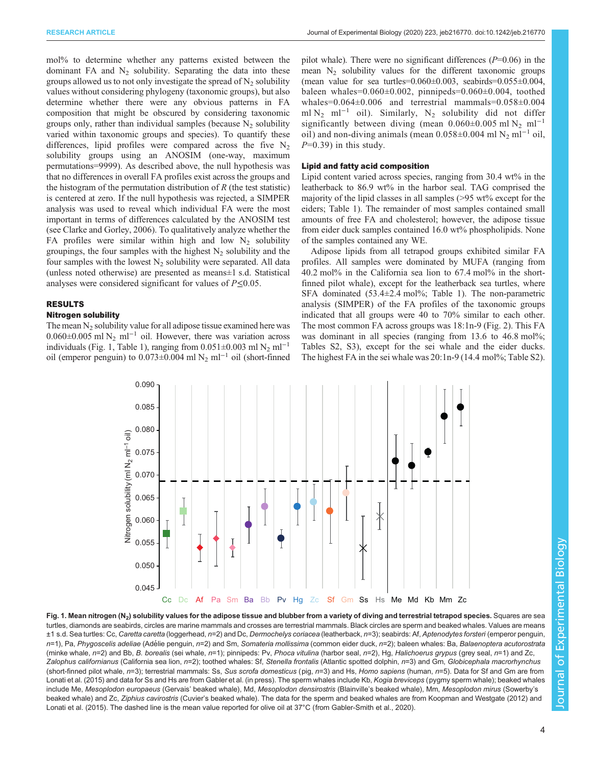<span id="page-3-0"></span>mol% to determine whether any patterns existed between the dominant FA and  $N_2$  solubility. Separating the data into these groups allowed us to not only investigate the spread of  $N<sub>2</sub>$  solubility values without considering phylogeny (taxonomic groups), but also determine whether there were any obvious patterns in FA composition that might be obscured by considering taxonomic groups only, rather than individual samples (because  $N<sub>2</sub>$  solubility varied within taxonomic groups and species). To quantify these differences, lipid profiles were compared across the five  $N_2$ solubility groups using an ANOSIM (one-way, maximum permutations=9999). As described above, the null hypothesis was that no differences in overall FA profiles exist across the groups and the histogram of the permutation distribution of  $R$  (the test statistic) is centered at zero. If the null hypothesis was rejected, a SIMPER analysis was used to reveal which individual FA were the most important in terms of differences calculated by the ANOSIM test (see [Clarke and Gorley, 2006](#page-10-0)). To qualitatively analyze whether the FA profiles were similar within high and low  $N_2$  solubility groupings, the four samples with the highest  $N_2$  solubility and the four samples with the lowest  $N_2$  solubility were separated. All data (unless noted otherwise) are presented as means±1 s.d. Statistical analyses were considered significant for values of  $P\leq 0.05$ .

# RESULTS

# Nitrogen solubility

The mean  $N_2$  solubility value for all adipose tissue examined here was  $0.060\pm0.005$  ml N<sub>2</sub> ml<sup>-1</sup> oil. However, there was variation across individuals (Fig. 1, [Table 1](#page-4-0)), ranging from  $0.051 \pm 0.003$  ml N<sub>2</sub> ml<sup>-1</sup> oil (emperor penguin) to 0.073±0.004 ml N2 ml−<sup>1</sup> oil (short-finned pilot whale). There were no significant differences  $(P=0.06)$  in the mean  $N_2$  solubility values for the different taxonomic groups (mean value for sea turtles= $0.060\pm0.003$ , seabirds= $0.055\pm0.004$ , baleen whales=0.060±0.002, pinnipeds=0.060±0.004, toothed whales=0.064±0.006 and terrestrial mammals=0.058±0.004 ml N<sub>2</sub> ml<sup>-1</sup> oil). Similarly, N<sub>2</sub> solubility did not differ significantly between diving (mean  $0.060\pm0.005$  ml N<sub>2</sub> ml<sup>-1</sup> oil) and non-diving animals (mean  $0.058\pm0.004$  ml N<sub>2</sub> ml<sup>-1</sup> oil,  $P=0.39$  in this study.

## Lipid and fatty acid composition

Lipid content varied across species, ranging from 30.4 wt% in the leatherback to 86.9 wt% in the harbor seal. TAG comprised the majority of the lipid classes in all samples (>95 wt% except for the eiders; [Table 1\)](#page-4-0). The remainder of most samples contained small amounts of free FA and cholesterol; however, the adipose tissue from eider duck samples contained 16.0 wt% phospholipids. None of the samples contained any WE.

Adipose lipids from all tetrapod groups exhibited similar FA profiles. All samples were dominated by MUFA (ranging from 40.2 mol% in the California sea lion to 67.4 mol% in the shortfinned pilot whale), except for the leatherback sea turtles, where SFA dominated  $(53.4 \pm 2.4 \text{ mol\%})$ ; [Table 1\)](#page-4-0). The non-parametric analysis (SIMPER) of the FA profiles of the taxonomic groups indicated that all groups were 40 to 70% similar to each other. The most common FA across groups was 18:1n-9 [\(Fig. 2](#page-4-0)). This FA was dominant in all species (ranging from 13.6 to 46.8 mol%; [Tables S2, S3\)](http://jeb.biologists.org/lookup/doi/10.1242/jeb.216770.supplemental), except for the sei whale and the eider ducks. The highest FA in the sei whale was 20:1n-9 (14.4 mol%; [Table S2\)](http://jeb.biologists.org/lookup/doi/10.1242/jeb.216770.supplemental).



Fig. 1. Mean nitrogen (N<sub>2</sub>) solubility values for the adipose tissue and blubber from a variety of diving and terrestrial tetrapod species. Squares are sea turtles, diamonds are seabirds, circles are marine mammals and crosses are terrestrial mammals. Black circles are sperm and beaked whales. Values are means ±1 s.d. Sea turtles: Cc, Caretta caretta (loggerhead, n=2) and Dc, Dermochelys coriacea (leatherback, n=3); seabirds: Af, Aptenodytes forsteri (emperor penguin, n=1), Pa, Phygoscelis adeliae (Adélie penguin, n=2) and Sm, Somateria mollissima (common eider duck, n=2); baleen whales: Ba, Balaenoptera acutorostrata (minke whale, n=2) and Bb, B. borealis (sei whale, n=1); pinnipeds: Pv, Phoca vitulina (harbor seal, n=2), Hg, Halichoerus grypus (grey seal, n=1) and Zc, Zalophus californianus (California sea lion, n=2); toothed whales: Sf, Stenella frontalis (Atlantic spotted dolphin, n=3) and Gm, Globicephala macrorhynchus (short-finned pilot whale, n=3); terrestrial mammals: Ss, Sus scrofa domesticus (pig, n=3) and Hs, Homo sapiens (human, n=5). Data for Sf and Gm are from [Lonati et al. \(2015\)](#page-11-0) and data for Ss and Hs are from [Gabler et al. \(in press\).](#page-11-0) The sperm whales include Kb, Kogia breviceps (pygmy sperm whale); beaked whales include Me, Mesoplodon europaeus (Gervais' beaked whale), Md, Mesoplodon densirostris (Blainville's beaked whale), Mm, Mesoplodon mirus (Sowerby's beaked whale) and Zc, Ziphius cavirostris (Cuvier's beaked whale). The data for the sperm and beaked whales are from [Koopman and Westgate \(2012\)](#page-11-0) and [Lonati et al. \(2015\).](#page-11-0) The dashed line is the mean value reported for olive oil at 37°C (from [Gabler-Smith et al., 2020\)](#page-11-0).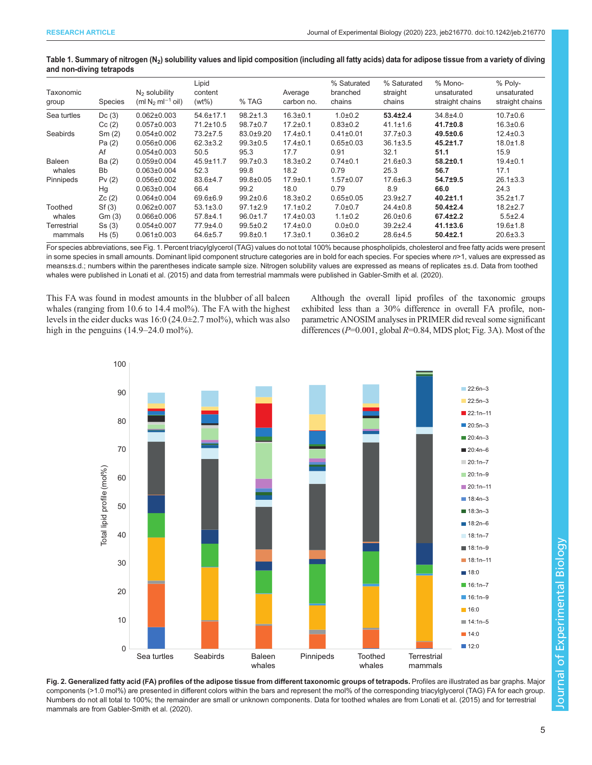<span id="page-4-0"></span>

| Table 1. Summary of nitrogen (N <sub>2</sub> ) solubility values and lipid composition (including all fatty acids) data for adipose tissue from a variety of diving |  |  |  |
|---------------------------------------------------------------------------------------------------------------------------------------------------------------------|--|--|--|
| and non-diving tetrapods                                                                                                                                            |  |  |  |

| Taxonomic<br>group     | Species   | $N2$ solubility<br>$(ml N2 ml-1 oil)$ | Lipid<br>content<br>$(wt\%)$ | % TAG           | Average<br>carbon no. | % Saturated<br>branched<br>chains | % Saturated<br>straight<br>chains | % Mono-<br>unsaturated<br>straight chains | % Poly-<br>unsaturated<br>straight chains |
|------------------------|-----------|---------------------------------------|------------------------------|-----------------|-----------------------|-----------------------------------|-----------------------------------|-------------------------------------------|-------------------------------------------|
| Sea turtles            | Dc(3)     | $0.062 \pm 0.003$                     | $54.6 \pm 17.1$              | $98.2 \pm 1.3$  | $16.3 \pm 0.1$        | $1.0 + 0.2$                       | $53.4 \pm 2.4$                    | $34.8 + 4.0$                              | $10.7 \pm 0.6$                            |
|                        | Cc(2)     | $0.057 \pm 0.003$                     | $71.2 \pm 10.5$              | $98.7 \pm 0.7$  | $17.2 \pm 0.1$        | $0.83 \pm 0.2$                    | $41.1 \pm 1.6$                    | 41.7±0.8                                  | $16.3 \pm 0.6$                            |
| Seabirds               | Sm(2)     | $0.054 \pm 0.002$                     | $73.2 \pm 7.5$               | 83.0±9.20       | $17.4 \pm 0.1$        | $0.41 \pm 0.01$                   | $37.7 \pm 0.3$                    | $49.5 \pm 0.6$                            | $12.4 \pm 0.3$                            |
|                        | Pa (2)    | $0.056 \pm 0.006$                     | $62.3 \pm 3.2$               | $99.3 \pm 0.5$  | $17.4 \pm 0.1$        | $0.65 \pm 0.03$                   | $36.1 \pm 3.5$                    | $45.2 \pm 1.7$                            | $18.0 \pm 1.8$                            |
|                        | Af        | $0.054 \pm 0.003$                     | 50.5                         | 95.3            | 17.7                  | 0.91                              | 32.1                              | 51.1                                      | 15.9                                      |
| Baleen<br>whales       | Ba (2)    | $0.059 \pm 0.004$                     | $45.9 \pm 11.7$              | $99.7 \pm 0.3$  | $18.3 \pm 0.2$        | $0.74 \pm 0.1$                    | $21.6 \pm 0.3$                    | $58.2 \pm 0.1$                            | $19.4 \pm 0.1$                            |
|                        | <b>Bb</b> | $0.063 \pm 0.004$                     | 52.3                         | 99.8            | 18.2                  | 0.79                              | 25.3                              | 56.7                                      | 17.1                                      |
| Pinnipeds              | Pv(2)     | $0.056 \pm 0.002$                     | 83.6±4.7                     | $99.8 \pm 0.05$ | $17.9 \pm 0.1$        | $1.57 \pm 0.07$                   | $17.6 \pm 6.3$                    | 54.7±9.5                                  | $26.1 \pm 3.3$                            |
|                        | Hg        | $0.063 \pm 0.004$                     | 66.4                         | 99.2            | 18.0                  | 0.79                              | 8.9                               | 66.0                                      | 24.3                                      |
|                        | Zc(2)     | $0.064 \pm 0.004$                     | 69.6±6.9                     | $99.2 \pm 0.6$  | $18.3 \pm 0.2$        | $0.65 \pm 0.05$                   | $23.9 \pm 2.7$                    | $40.2 \pm 1.1$                            | $35.2 \pm 1.7$                            |
| Toothed<br>whales      | Sf(3)     | $0.062 \pm 0.007$                     | $53.1 \pm 3.0$               | $97.1 \pm 2.9$  | $17.1 \pm 0.2$        | $7.0 + 0.7$                       | $24.4 \pm 0.8$                    | $50.4{\pm}2.4$                            | $18.2 \pm 2.7$                            |
|                        | Gm(3)     | $0.066 \pm 0.006$                     | $57.8 + 4.1$                 | $96.0 \pm 1.7$  | $17.4 \pm 0.03$       | $1.1 \pm 0.2$                     | $26.0 \pm 0.6$                    | $67.4 \pm 2.2$                            | $5.5 \pm 2.4$                             |
| Terrestrial<br>mammals | Ss(3)     | $0.054 \pm 0.007$                     | 77.9±4.0                     | $99.5 \pm 0.2$  | $17.4 \pm 0.0$        | $0.0 + 0.0$                       | $39.2 \pm 2.4$                    | $41.1 \pm 3.6$                            | $19.6 \pm 1.8$                            |
|                        | Hs(5)     | $0.061 \pm 0.003$                     | $64.6 \pm 5.7$               | $99.8 \pm 0.1$  | $17.3 \pm 0.1$        | $0.36 \pm 0.2$                    | 28.6±4.5                          | $50.4 \pm 2.1$                            | $20.6 \pm 3.3$                            |

For species abbreviations, see [Fig. 1](#page-3-0). Percent triacylglycerol (TAG) values do not total 100% because phospholipids, cholesterol and free fatty acids were present in some species in small amounts. Dominant lipid component structure categories are in bold for each species. For species where n>1, values are expressed as means±s.d.; numbers within the parentheses indicate sample size. Nitrogen solubility values are expressed as means of replicates ±s.d. Data from toothed whales were published in [Lonati et al. \(2015\)](#page-11-0) and data from terrestrial mammals were published in [Gabler-Smith et al. \(2020\).](#page-11-0)

This FA was found in modest amounts in the blubber of all baleen whales (ranging from 10.6 to 14.4 mol%). The FA with the highest levels in the eider ducks was  $16:0$  (24.0 $\pm$ 2.7 mol%), which was also high in the penguins (14.9–24.0 mol%).

Although the overall lipid profiles of the taxonomic groups exhibited less than a 30% difference in overall FA profile, nonparametric ANOSIM analyses in PRIMER did reveal some significant differences ( $P=0.001$ , global  $R=0.84$ , MDS plot; [Fig. 3](#page-5-0)A). Most of the



Fig. 2. Generalized fatty acid (FA) profiles of the adipose tissue from different taxonomic groups of tetrapods. Profiles are illustrated as bar graphs. Major components (>1.0 mol%) are presented in different colors within the bars and represent the mol% of the corresponding triacylglycerol (TAG) FA for each group. Numbers do not all total to 100%; the remainder are small or unknown components. Data for toothed whales are from [Lonati et al. \(2015\)](#page-11-0) and for terrestrial mammals are from [Gabler-Smith et al. \(2020\)](#page-11-0).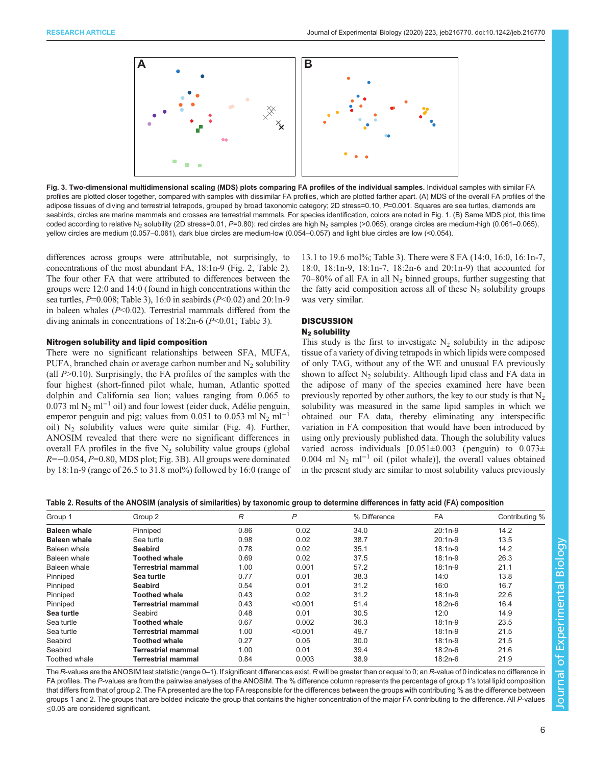<span id="page-5-0"></span>

Fig. 3. Two-dimensional multidimensional scaling (MDS) plots comparing FA profiles of the individual samples. Individual samples with similar FA profiles are plotted closer together, compared with samples with dissimilar FA profiles, which are plotted farther apart. (A) MDS of the overall FA profiles of the adipose tissues of diving and terrestrial tetrapods, grouped by broad taxonomic category; 2D stress=0.10, P=0.001. Squares are sea turtles, diamonds are seabirds, circles are marine mammals and crosses are terrestrial mammals. For species identification, colors are noted in [Fig. 1.](#page-3-0) (B) Same MDS plot, this time coded according to relative N<sub>2</sub> solubility (2D stress=0.01, P=0.80): red circles are high N<sub>2</sub> samples (>0.065), orange circles are medium-high (0.061-0.065), yellow circles are medium (0.057–0.061), dark blue circles are medium-low (0.054–0.057) and light blue circles are low (<0.054).

differences across groups were attributable, not surprisingly, to concentrations of the most abundant FA, 18:1n-9 ([Fig. 2,](#page-4-0) Table 2). The four other FA that were attributed to differences between the groups were 12:0 and 14:0 (found in high concentrations within the sea turtles,  $P=0.008$ ; [Table 3\)](#page-6-0), 16:0 in seabirds ( $P<0.02$ ) and 20:1n-9 in baleen whales  $(P<0.02)$ . Terrestrial mammals differed from the diving animals in concentrations of  $18:2n-6$  ( $P<0.01$ ; [Table 3](#page-6-0)).

## Nitrogen solubility and lipid composition

There were no significant relationships between SFA, MUFA, PUFA, branched chain or average carbon number and  $N<sub>2</sub>$  solubility (all  $P > 0.10$ ). Surprisingly, the FA profiles of the samples with the four highest (short-finned pilot whale, human, Atlantic spotted dolphin and California sea lion; values ranging from 0.065 to 0.073 ml N2 ml−<sup>1</sup> oil) and four lowest (eider duck, Adélie penguin, emperor penguin and pig; values from 0.051 to 0.053 ml N<sub>2</sub> ml<sup>-1</sup> oil)  $N_2$  solubility values were quite similar [\(Fig. 4](#page-6-0)). Further, ANOSIM revealed that there were no significant differences in overall FA profiles in the five  $N_2$  solubility value groups (global R=−0.054, P=0.80, MDS plot; Fig. 3B). All groups were dominated by 18:1n-9 (range of 26.5 to 31.8 mol%) followed by 16:0 (range of

13.1 to 19.6 mol%; [Table 3](#page-6-0)). There were 8 FA (14:0, 16:0, 16:1n-7, 18:0, 18:1n-9, 18:1n-7, 18:2n-6 and 20:1n-9) that accounted for 70–80% of all FA in all  $N_2$  binned groups, further suggesting that the fatty acid composition across all of these  $N_2$  solubility groups was very similar.

# **DISCUSSION**

# N<sub>2</sub> solubility

This study is the first to investigate  $N_2$  solubility in the adipose tissue of a variety of diving tetrapods in which lipids were composed of only TAG, without any of the WE and unusual FA previously shown to affect  $N_2$  solubility. Although lipid class and FA data in the adipose of many of the species examined here have been previously reported by other authors, the key to our study is that  $N_2$ solubility was measured in the same lipid samples in which we obtained our FA data, thereby eliminating any interspecific variation in FA composition that would have been introduced by using only previously published data. Though the solubility values varied across individuals  $[0.051 \pm 0.003$  (penguin) to  $0.073 \pm$ 0.004 ml N<sub>2</sub> ml<sup>-1</sup> oil (pilot whale)], the overall values obtained in the present study are similar to most solubility values previously

# Table 2. Results of the ANOSIM (analysis of similarities) by taxonomic group to determine differences in fatty acid (FA) composition

| Group 1             | Group 2              | R    | P       | % Difference | <b>FA</b> | Contributing % |
|---------------------|----------------------|------|---------|--------------|-----------|----------------|
| <b>Baleen whale</b> | Pinniped             | 0.86 | 0.02    | 34.0         | $20:1n-9$ | 14.2           |
| <b>Baleen whale</b> | Sea turtle           | 0.98 | 0.02    | 38.7         | $20:1n-9$ | 13.5           |
| Baleen whale        | <b>Seabird</b>       | 0.78 | 0.02    | 35.1         | $18:1n-9$ | 14.2           |
| Baleen whale        | <b>Toothed whale</b> | 0.69 | 0.02    | 37.5         | $18:1n-9$ | 26.3           |
| Baleen whale        | Terrestrial mammal   | 1.00 | 0.001   | 57.2         | $18:1n-9$ | 21.1           |
| Pinniped            | Sea turtle           | 0.77 | 0.01    | 38.3         | 14:0      | 13.8           |
| Pinniped            | <b>Seabird</b>       | 0.54 | 0.01    | 31.2         | 16:0      | 16.7           |
| Pinniped            | Toothed whale        | 0.43 | 0.02    | 31.2         | $18:1n-9$ | 22.6           |
| Pinniped            | Terrestrial mammal   | 0.43 | < 0.001 | 51.4         | $18:2n-6$ | 16.4           |
| Sea turtle          | Seabird              | 0.48 | 0.01    | 30.5         | 12:0      | 14.9           |
| Sea turtle          | <b>Toothed whale</b> | 0.67 | 0.002   | 36.3         | $18:1n-9$ | 23.5           |
| Sea turtle          | Terrestrial mammal   | 1.00 | < 0.001 | 49.7         | $18:1n-9$ | 21.5           |
| Seabird             | Toothed whale        | 0.27 | 0.05    | 30.0         | $18:1n-9$ | 21.5           |
| Seabird             | Terrestrial mammal   | 1.00 | 0.01    | 39.4         | 18:2n-6   | 21.6           |
| Toothed whale       | Terrestrial mammal   | 0.84 | 0.003   | 38.9         | $18:2n-6$ | 21.9           |

The R-values are the ANOSIM test statistic (range 0-1). If significant differences exist, R will be greater than or equal to 0; an R-value of 0 indicates no difference in FA profiles. The P-values are from the pairwise analyses of the ANOSIM. The % difference column represents the percentage of group 1's total lipid composition that differs from that of group 2. The FA presented are the top FA responsible for the differences between the groups with contributing % as the difference between groups 1 and 2. The groups that are bolded indicate the group that contains the higher concentration of the major FA contributing to the difference. All P-values ≤0.05 are considered significant.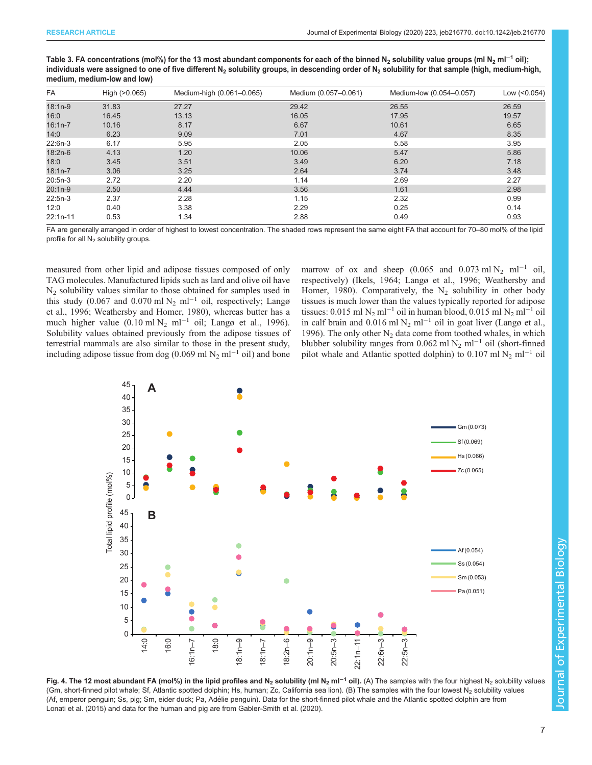<span id="page-6-0"></span>Table 3. FA concentrations (mol%) for the 13 most abundant components for each of the binned N<sub>2</sub> solubility value groups (ml N<sub>2</sub> ml<sup>-1</sup> oil); individuals were assigned to one of five different N<sub>2</sub> solubility groups, in descending order of N<sub>2</sub> solubility for that sample (high, medium-high, medium, medium-low and low)

| <b>FA</b>  | High (>0.065) | Medium-high (0.061-0.065) | Medium (0.057-0.061) | Medium-low (0.054-0.057) | Low (<0.054) |
|------------|---------------|---------------------------|----------------------|--------------------------|--------------|
| $18:1n-9$  | 31.83         | 27.27                     | 29.42                | 26.55                    | 26.59        |
| 16:0       | 16.45         | 13.13                     | 16.05                | 17.95                    | 19.57        |
| $16:1n-7$  | 10.16         | 8.17                      | 6.67                 | 10.61                    | 6.65         |
| 14:0       | 6.23          | 9.09                      | 7.01                 | 4.67                     | 8.35         |
| $22:6n-3$  | 6.17          | 5.95                      | 2.05                 | 5.58                     | 3.95         |
| $18:2n-6$  | 4.13          | 1.20                      | 10.06                | 5.47                     | 5.86         |
| 18:0       | 3.45          | 3.51                      | 3.49                 | 6.20                     | 7.18         |
| $18:1n-7$  | 3.06          | 3.25                      | 2.64                 | 3.74                     | 3.48         |
| $20:5n-3$  | 2.72          | 2.20                      | 1.14                 | 2.69                     | 2.27         |
| $20:1n-9$  | 2.50          | 4.44                      | 3.56                 | 1.61                     | 2.98         |
| $22:5n-3$  | 2.37          | 2.28                      | 1.15                 | 2.32                     | 0.99         |
| 12:0       | 0.40          | 3.38                      | 2.29                 | 0.25                     | 0.14         |
| $22:1n-11$ | 0.53          | 1.34                      | 2.88                 | 0.49                     | 0.93         |

FA are generally arranged in order of highest to lowest concentration. The shaded rows represent the same eight FA that account for 70–80 mol% of the lipid profile for all  $N_2$  solubility groups.

measured from other lipid and adipose tissues composed of only TAG molecules. Manufactured lipids such as lard and olive oil have  $N_2$  solubility values similar to those obtained for samples used in this study (0.067 and 0.070 ml N<sub>2</sub> ml<sup>-1</sup> oil, respectively; [Langø](#page-11-0) [et al., 1996;](#page-11-0) [Weathersby and Homer, 1980](#page-12-0)), whereas butter has a much higher value (0.10 ml N<sub>2</sub> ml<sup>-1</sup> oil; [Langø et al., 1996\)](#page-11-0). Solubility values obtained previously from the adipose tissues of terrestrial mammals are also similar to those in the present study, including adipose tissue from dog (0.069 ml N<sub>2</sub> ml<sup>-1</sup> oil) and bone marrow of ox and sheep (0.065 and 0.073 ml N<sub>2</sub> ml<sup>-1</sup> oil, respectively) ([Ikels, 1964; Langø et al., 1996](#page-11-0); [Weathersby and](#page-12-0) [Homer, 1980](#page-12-0)). Comparatively, the  $N_2$  solubility in other body tissues is much lower than the values typically reported for adipose tissues: 0.015 ml N<sub>2</sub> ml<sup>-1</sup> oil in human blood, 0.015 ml N<sub>2</sub> ml<sup>-1</sup> oil in calf brain and 0.016 ml N<sub>2</sub> ml<sup>-1</sup> oil in goat liver [\(Langø et al.,](#page-11-0) [1996\)](#page-11-0). The only other  $N_2$  data come from toothed whales, in which blubber solubility ranges from 0.062 ml N<sub>2</sub> ml<sup>-1</sup> oil (short-finned pilot whale and Atlantic spotted dolphin) to 0.107 ml N<sub>2</sub> ml<sup>-1</sup> oil



Fig. 4. The 12 most abundant FA (mol%) in the lipid profiles and N<sub>2</sub> solubility (ml N<sub>2</sub> ml<sup>-1</sup> oil). (A) The samples with the four highest N<sub>2</sub> solubility values (Gm, short-finned pilot whale; Sf, Atlantic spotted dolphin; Hs, human; Zc, California sea lion). (B) The samples with the four lowest N<sub>2</sub> solubility values (Af, emperor penguin; Ss, pig; Sm, eider duck; Pa, Adélie penguin). Data for the short-finned pilot whale and the Atlantic spotted dolphin are from [Lonati et al. \(2015\)](#page-11-0) and data for the human and pig are from [Gabler-Smith et al. \(2020\)](#page-11-0).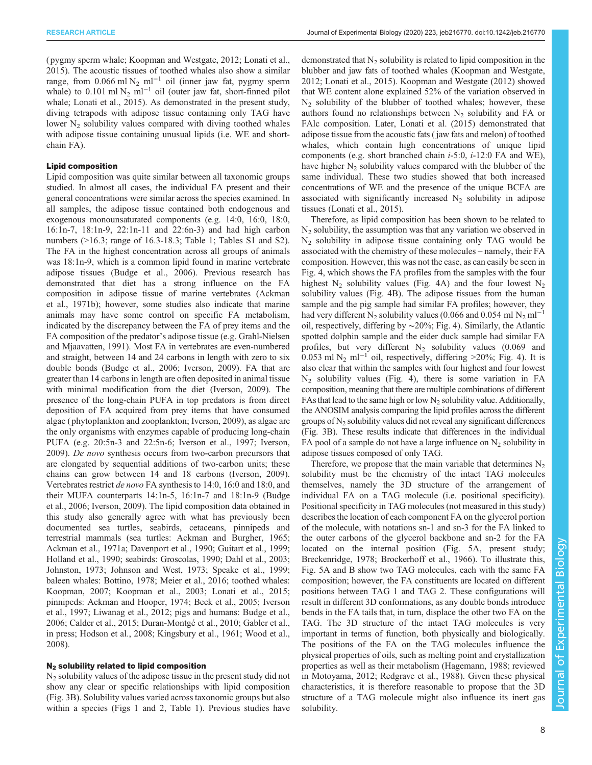RESEARCH ARTICLE **ARTICLE** ARTICLE ARTICLE **Journal of Experimental Biology (2020) 223, jeb216770. doi:10.1242/jeb.216770** 

( pygmy sperm whale; [Koopman and Westgate, 2012; Lonati et al.,](#page-11-0) [2015](#page-11-0)). The acoustic tissues of toothed whales also show a similar range, from 0.066 ml N<sub>2</sub> ml<sup>-1</sup> oil (inner jaw fat, pygmy sperm whale) to 0.101 ml N<sub>2</sub> ml<sup>-1</sup> oil (outer jaw fat, short-finned pilot whale; [Lonati et al., 2015](#page-11-0)). As demonstrated in the present study, diving tetrapods with adipose tissue containing only TAG have lower  $N<sub>2</sub>$  solubility values compared with diving toothed whales with adipose tissue containing unusual lipids (i.e. WE and shortchain FA).

## Lipid composition

Lipid composition was quite similar between all taxonomic groups studied. In almost all cases, the individual FA present and their general concentrations were similar across the species examined. In all samples, the adipose tissue contained both endogenous and exogenous monounsaturated components (e.g. 14:0, 16:0, 18:0, 16:1n-7, 18:1n-9, 22:1n-11 and 22:6n-3) and had high carbon numbers (>16.3; range of 16.3-18.3; [Table 1;](#page-4-0) [Tables S1](http://jeb.biologists.org/lookup/doi/10.1242/jeb.216770.supplemental) and [S2\)](http://jeb.biologists.org/lookup/doi/10.1242/jeb.216770.supplemental). The FA in the highest concentration across all groups of animals was 18:1n-9, which is a common lipid found in marine vertebrate adipose tissues ([Budge et al., 2006](#page-10-0)). Previous research has demonstrated that diet has a strong influence on the FA composition in adipose tissue of marine vertebrates ([Ackman](#page-10-0) [et al., 1971b\)](#page-10-0); however, some studies also indicate that marine animals may have some control on specific FA metabolism, indicated by the discrepancy between the FA of prey items and the FA composition of the predator's adipose tissue (e.g. [Grahl-Nielsen](#page-11-0) [and Mjaavatten, 1991](#page-11-0)). Most FA in vertebrates are even-numbered and straight, between 14 and 24 carbons in length with zero to six double bonds [\(Budge et al., 2006;](#page-10-0) [Iverson, 2009](#page-11-0)). FA that are greater than 14 carbons in length are often deposited in animal tissue with minimal modification from the diet ([Iverson, 2009\)](#page-11-0). The presence of the long-chain PUFA in top predators is from direct deposition of FA acquired from prey items that have consumed algae ( phytoplankton and zooplankton; [Iverson, 2009](#page-11-0)), as algae are the only organisms with enzymes capable of producing long-chain PUFA (e.g. 20:5n-3 and 22:5n-6; [Iverson et al., 1997; Iverson,](#page-11-0) [2009](#page-11-0)). De novo synthesis occurs from two-carbon precursors that are elongated by sequential additions of two-carbon units; these chains can grow between 14 and 18 carbons [\(Iverson, 2009\)](#page-11-0). Vertebrates restrict de novo FA synthesis to 14:0, 16:0 and 18:0, and their MUFA counterparts 14:1n-5, 16:1n-7 and 18:1n-9 [\(Budge](#page-10-0) [et al., 2006;](#page-10-0) [Iverson, 2009\)](#page-11-0). The lipid composition data obtained in this study also generally agree with what has previously been documented sea turtles, seabirds, cetaceans, pinnipeds and terrestrial mammals (sea turtles: [Ackman and Burgher, 1965](#page-10-0); [Ackman et al., 1971a; Davenport et al., 1990;](#page-10-0) [Guitart et al., 1999](#page-11-0); [Holland et al., 1990](#page-11-0); seabirds: [Groscolas, 1990;](#page-11-0) [Dahl et al., 2003](#page-10-0); [Johnston, 1973](#page-11-0); [Johnson and West, 1973;](#page-11-0) [Speake et al., 1999](#page-12-0); baleen whales: [Bottino, 1978](#page-10-0); [Meier et al., 2016](#page-11-0); toothed whales: [Koopman, 2007](#page-11-0); [Koopman et al., 2003](#page-11-0); [Lonati et al., 2015](#page-11-0); pinnipeds: [Ackman and Hooper, 1974; Beck et al., 2005](#page-10-0); [Iverson](#page-11-0) [et al., 1997](#page-11-0); [Liwanag et al., 2012](#page-11-0); pigs and humans: [Budge et al.,](#page-10-0) [2006](#page-10-0); [Calder et al., 2015](#page-10-0); [Duran-Montgé et al., 2010;](#page-10-0) [Gabler et al.,](#page-11-0) [in press](#page-11-0); [Hodson et al., 2008; Kingsbury et al., 1961](#page-11-0); [Wood et al.,](#page-12-0) [2008](#page-12-0)).

#### N<sub>2</sub> solubility related to lipid composition

N2 solubility values of the adipose tissue in the present study did not show any clear or specific relationships with lipid composition [\(Fig. 3B](#page-5-0)). Solubility values varied across taxonomic groups but also within a species [\(Figs 1](#page-3-0) and [2, Table 1](#page-4-0)). Previous studies have demonstrated that  $N_2$  solubility is related to lipid composition in the blubber and jaw fats of toothed whales ([Koopman and Westgate,](#page-11-0) [2012; Lonati et al., 2015](#page-11-0)). [Koopman and Westgate \(2012\)](#page-11-0) showed that WE content alone explained 52% of the variation observed in  $N<sub>2</sub>$  solubility of the blubber of toothed whales; however, these authors found no relationships between  $N_2$  solubility and FA or FAlc composition. Later, [Lonati et al. \(2015\)](#page-11-0) demonstrated that adipose tissue from the acoustic fats ( jaw fats and melon) of toothed whales, which contain high concentrations of unique lipid components (e.g. short branched chain i-5:0, i-12:0 FA and WE), have higher  $N<sub>2</sub>$  solubility values compared with the blubber of the same individual. These two studies showed that both increased concentrations of WE and the presence of the unique BCFA are associated with significantly increased  $N<sub>2</sub>$  solubility in adipose tissues ([Lonati et al., 2015](#page-11-0)).

Therefore, as lipid composition has been shown to be related to  $N<sub>2</sub>$  solubility, the assumption was that any variation we observed in  $N_2$  solubility in adipose tissue containing only TAG would be associated with the chemistry of these molecules – namely, their FA composition. However, this was not the case, as can easily be seen in [Fig. 4](#page-6-0), which shows the FA profiles from the samples with the four highest  $N_2$  solubility values ([Fig. 4](#page-6-0)A) and the four lowest  $N_2$ solubility values [\(Fig. 4B](#page-6-0)). The adipose tissues from the human sample and the pig sample had similar FA profiles; however, they had very different N<sub>2</sub> solubility values (0.066 and 0.054 ml N<sub>2</sub> ml<sup>-1</sup> oil, respectively, differing by ∼20%; [Fig. 4](#page-6-0)). Similarly, the Atlantic spotted dolphin sample and the eider duck sample had similar FA profiles, but very different  $N_2$  solubility values (0.069 and 0.053 ml N<sub>2</sub> ml<sup>-1</sup> oil, respectively, differing >20%; [Fig. 4](#page-6-0)). It is also clear that within the samples with four highest and four lowest  $N_2$  solubility values [\(Fig. 4](#page-6-0)), there is some variation in FA composition, meaning that there are multiple combinations of different FAs that lead to the same high or low  $N<sub>2</sub>$  solubility value. Additionally, the ANOSIM analysis comparing the lipid profiles across the different groups of  $N<sub>2</sub>$  solubility values did not reveal any significant differences [\(Fig. 3](#page-5-0)B). These results indicate that differences in the individual FA pool of a sample do not have a large influence on  $N<sub>2</sub>$  solubility in adipose tissues composed of only TAG.

Therefore, we propose that the main variable that determines  $N<sub>2</sub>$ solubility must be the chemistry of the intact TAG molecules themselves, namely the 3D structure of the arrangement of individual FA on a TAG molecule (i.e. positional specificity). Positional specificity in TAG molecules (not measured in this study) describes the location of each component FA on the glycerol portion of the molecule, with notations sn-1 and sn-3 for the FA linked to the outer carbons of the glycerol backbone and sn-2 for the FA located on the internal position ([Fig. 5](#page-8-0)A, present study; [Breckenridge, 1978; Brockerhoff et al., 1966\)](#page-10-0). To illustrate this, [Fig. 5A](#page-8-0) and B show two TAG molecules, each with the same FA composition; however, the FA constituents are located on different positions between TAG 1 and TAG 2. These configurations will result in different 3D conformations, as any double bonds introduce bends in the FA tails that, in turn, displace the other two FA on the TAG. The 3D structure of the intact TAG molecules is very important in terms of function, both physically and biologically. The positions of the FA on the TAG molecules influence the physical properties of oils, such as melting point and crystallization properties as well as their metabolism [\(Hagemann, 1988;](#page-11-0) reviewed in [Motoyama, 2012; Redgrave et al., 1988\)](#page-12-0). Given these physical characteristics, it is therefore reasonable to propose that the 3D structure of a TAG molecule might also influence its inert gas solubility.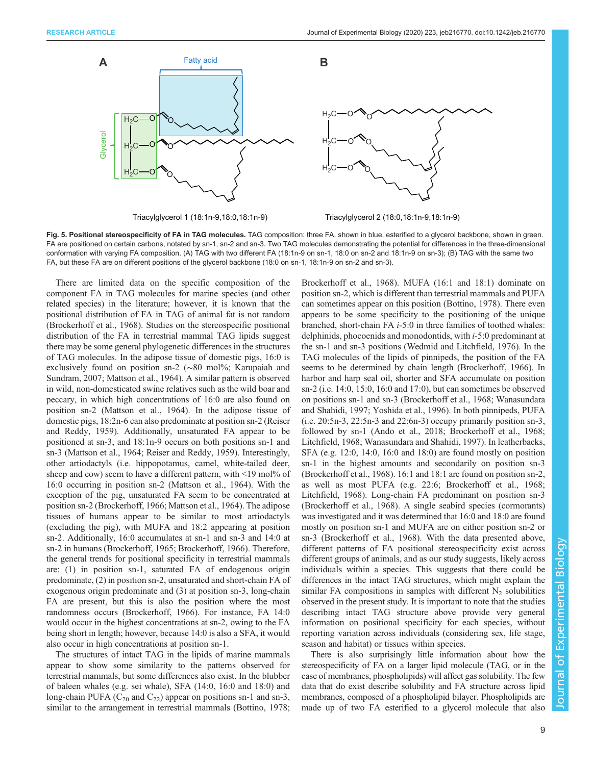<span id="page-8-0"></span>

Triacylglycerol 1 (18:1n-9,18:0,18:1n-9) Triacylglycerol 2 (18:0,18:1n-9,18:1n-9)

Fig. 5. Positional stereospecificity of FA in TAG molecules. TAG composition: three FA, shown in blue, esterified to a glycerol backbone, shown in green. FA are positioned on certain carbons, notated by sn-1, sn-2 and sn-3. Two TAG molecules demonstrating the potential for differences in the three-dimensional conformation with varying FA composition. (A) TAG with two different FA (18:1n-9 on sn-1, 18:0 on sn-2 and 18:1n-9 on sn-3); (B) TAG with the same two FA, but these FA are on different positions of the glycerol backbone (18:0 on sn-1, 18:1n-9 on sn-2 and sn-3).

There are limited data on the specific composition of the component FA in TAG molecules for marine species (and other related species) in the literature; however, it is known that the positional distribution of FA in TAG of animal fat is not random [\(Brockerhoff et al., 1968\)](#page-10-0). Studies on the stereospecific positional distribution of the FA in terrestrial mammal TAG lipids suggest there may be some general phylogenetic differences in the structures of TAG molecules. In the adipose tissue of domestic pigs, 16:0 is exclusively found on position sn-2 (∼80 mol%; [Karupaiah and](#page-11-0) [Sundram, 2007; Mattson et al., 1964\)](#page-11-0). A similar pattern is observed in wild, non-domesticated swine relatives such as the wild boar and peccary, in which high concentrations of 16:0 are also found on position sn-2 ([Mattson et al., 1964](#page-11-0)). In the adipose tissue of domestic pigs, 18:2n-6 can also predominate at position sn-2 [\(Reiser](#page-12-0) [and Reddy, 1959\)](#page-12-0). Additionally, unsaturated FA appear to be positioned at sn-3, and 18:1n-9 occurs on both positions sn-1 and sn-3 [\(Mattson et al., 1964](#page-11-0); [Reiser and Reddy, 1959\)](#page-12-0). Interestingly, other artiodactyls (i.e. hippopotamus, camel, white-tailed deer, sheep and cow) seem to have a different pattern, with <19 mol% of 16:0 occurring in position sn-2 [\(Mattson et al., 1964\)](#page-11-0). With the exception of the pig, unsaturated FA seem to be concentrated at position sn-2 [\(Brockerhoff, 1966;](#page-10-0) [Mattson et al., 1964\)](#page-11-0). The adipose tissues of humans appear to be similar to most artiodactyls (excluding the pig), with MUFA and 18:2 appearing at position sn-2. Additionally, 16:0 accumulates at sn-1 and sn-3 and 14:0 at sn-2 in humans [\(Brockerhoff, 1965; Brockerhoff, 1966](#page-10-0)). Therefore, the general trends for positional specificity in terrestrial mammals are: (1) in position sn-1, saturated FA of endogenous origin predominate, (2) in position sn-2, unsaturated and short-chain FA of exogenous origin predominate and (3) at position sn-3, long-chain FA are present, but this is also the position where the most randomness occurs ([Brockerhoff, 1966](#page-10-0)). For instance, FA 14:0 would occur in the highest concentrations at sn-2, owing to the FA being short in length; however, because 14:0 is also a SFA, it would also occur in high concentrations at position sn-1.

The structures of intact TAG in the lipids of marine mammals appear to show some similarity to the patterns observed for terrestrial mammals, but some differences also exist. In the blubber of baleen whales (e.g. sei whale), SFA (14:0, 16:0 and 18:0) and long-chain PUFA  $(C_{20}$  and  $C_{22}$ ) appear on positions sn-1 and sn-3, similar to the arrangement in terrestrial mammals [\(Bottino, 1978](#page-10-0);

[Brockerhoff et al., 1968\)](#page-10-0). MUFA (16:1 and 18:1) dominate on position sn-2, which is different than terrestrial mammals and PUFA can sometimes appear on this position ([Bottino, 1978](#page-10-0)). There even appears to be some specificity to the positioning of the unique branched, short-chain FA i-5:0 in three families of toothed whales: delphinids, phocoenids and monodontids, with i-5:0 predominant at the sn-1 and sn-3 positions ([Wedmid and Litchfield, 1976\)](#page-12-0). In the TAG molecules of the lipids of pinnipeds, the position of the FA seems to be determined by chain length [\(Brockerhoff, 1966\)](#page-10-0). In harbor and harp seal oil, shorter and SFA accumulate on position sn-2 (i.e. 14:0, 15:0, 16:0 and 17:0), but can sometimes be observed on positions sn-1 and sn-3 ([Brockerhoff et al., 1968](#page-10-0); [Wanasundara](#page-12-0) [and Shahidi, 1997; Yoshida et al., 1996](#page-12-0)). In both pinnipeds, PUFA (i.e. 20:5n-3, 22:5n-3 and 22:6n-3) occupy primarily position sn-3, followed by sn-1 ([Ando et al., 2018](#page-10-0); [Brockerhoff et al., 1968](#page-10-0); [Litchfield, 1968](#page-11-0); [Wanasundara and Shahidi, 1997\)](#page-12-0). In leatherbacks, SFA (e.g. 12:0, 14:0, 16:0 and 18:0) are found mostly on position sn-1 in the highest amounts and secondarily on position sn-3 [\(Brockerhoff et al., 1968\)](#page-10-0). 16:1 and 18:1 are found on position sn-2, as well as most PUFA (e.g. 22:6; [Brockerhoff et al., 1968](#page-10-0); [Litchfield, 1968\)](#page-11-0). Long-chain FA predominant on position sn-3 [\(Brockerhoff et al., 1968\)](#page-10-0). A single seabird species (cormorants) was investigated and it was determined that 16:0 and 18:0 are found mostly on position sn-1 and MUFA are on either position sn-2 or sn-3 ([Brockerhoff et al., 1968](#page-10-0)). With the data presented above, different patterns of FA positional stereospecificity exist across different groups of animals, and as our study suggests, likely across individuals within a species. This suggests that there could be differences in the intact TAG structures, which might explain the similar FA compositions in samples with different  $N<sub>2</sub>$  solubilities observed in the present study. It is important to note that the studies describing intact TAG structure above provide very general information on positional specificity for each species, without reporting variation across individuals (considering sex, life stage, season and habitat) or tissues within species.

There is also surprisingly little information about how the stereospecificity of FA on a larger lipid molecule (TAG, or in the case of membranes, phospholipids) will affect gas solubility. The few data that do exist describe solubility and FA structure across lipid membranes, composed of a phospholipid bilayer. Phospholipids are made up of two FA esterified to a glycerol molecule that also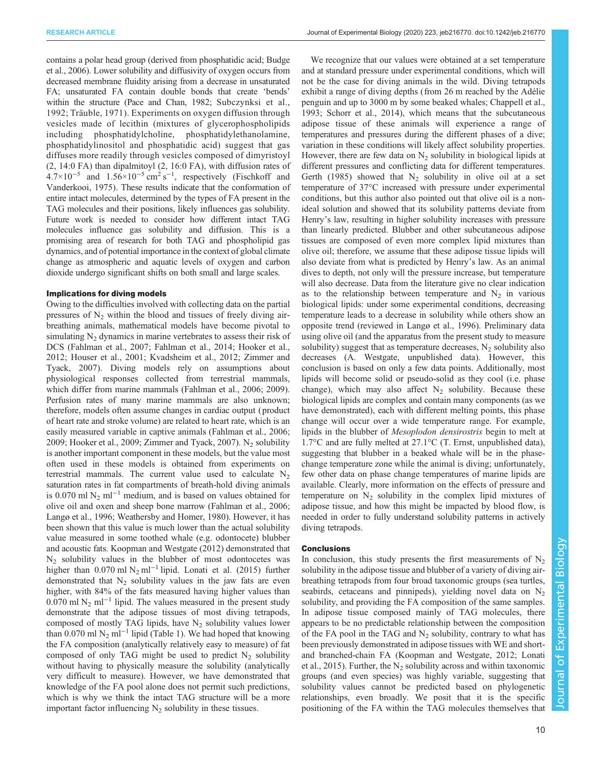RESEARCH ARTICLE **ARTICLE** ARTICLE ARTICLE **Journal of Experimental Biology (2020) 223, jeb216770. doi:10.1242/jeb.216770** 

contains a polar head group (derived from phosphatidic acid; [Budge](#page-10-0) [et al., 2006](#page-10-0)). Lower solubility and diffusivity of oxygen occurs from decreased membrane fluidity arising from a decrease in unsaturated FA; unsaturated FA contain double bonds that create 'bends' within the structure ([Pace and Chan, 1982; Subczynksi et al.,](#page-12-0) [1992; Träuble, 1971](#page-12-0)). Experiments on oxygen diffusion through vesicles made of lecithin (mixtures of glycerophospholipids including phosphatidylcholine, phosphatidylethanolamine, phosphatidylinositol and phosphatidic acid) suggest that gas diffuses more readily through vesicles composed of dimyristoyl (2, 14:0 FA) than dipalmitoyl (2, 16:0 FA), with diffusion rates of  $4.7 \times 10^{-5}$  and  $1.56 \times 10^{-5}$  cm<sup>2</sup> s<sup>-1</sup>, respectively ([Fischkoff and](#page-11-0) [Vanderkooi, 1975\)](#page-11-0). These results indicate that the conformation of entire intact molecules, determined by the types of FA present in the TAG molecules and their positions, likely influences gas solubility. Future work is needed to consider how different intact TAG molecules influence gas solubility and diffusion. This is a promising area of research for both TAG and phospholipid gas dynamics, and of potential importance in the context of global climate change as atmospheric and aquatic levels of oxygen and carbon dioxide undergo significant shifts on both small and large scales.

#### Implications for diving models

Owing to the difficulties involved with collecting data on the partial pressures of  $N_2$  within the blood and tissues of freely diving airbreathing animals, mathematical models have become pivotal to simulating  $N<sub>2</sub>$  dynamics in marine vertebrates to assess their risk of DCS [\(Fahlman et al., 2007; Fahlman et al., 2014;](#page-10-0) [Hooker et al.,](#page-11-0) [2012](#page-11-0); [Houser et al., 2001; Kvadsheim et al., 2012](#page-11-0); [Zimmer and](#page-12-0) [Tyack, 2007\)](#page-12-0). Diving models rely on assumptions about physiological responses collected from terrestrial mammals, which differ from marine mammals ([Fahlman et al., 2006; 2009\)](#page-10-0). Perfusion rates of many marine mammals are also unknown; therefore, models often assume changes in cardiac output ( product of heart rate and stroke volume) are related to heart rate, which is an easily measured variable in captive animals [\(Fahlman et al., 2006](#page-10-0); [2009](#page-10-0); [Hooker et al., 2009](#page-11-0); [Zimmer and Tyack, 2007\)](#page-12-0).  $N_2$  solubility is another important component in these models, but the value most often used in these models is obtained from experiments on terrestrial mammals. The current value used to calculate  $N_2$ saturation rates in fat compartments of breath-hold diving animals is 0.070 ml N<sub>2</sub> ml<sup>-1</sup> medium, and is based on values obtained for olive oil and oxen and sheep bone marrow [\(Fahlman et al., 2006](#page-10-0); [Langø et al., 1996](#page-11-0); [Weathersby and Homer, 1980\)](#page-12-0). However, it has been shown that this value is much lower than the actual solubility value measured in some toothed whale (e.g. odontocete) blubber and acoustic fats. [Koopman and Westgate \(2012\)](#page-11-0) demonstrated that  $N_2$  solubility values in the blubber of most odontocetes was higher than  $0.070$  ml N<sub>2</sub> ml<sup>-1</sup> lipid. [Lonati et al. \(2015\)](#page-11-0) further demonstrated that  $N_2$  solubility values in the jaw fats are even higher, with 84% of the fats measured having higher values than 0.070 ml N<sub>2</sub> ml<sup>-1</sup> lipid. The values measured in the present study demonstrate that the adipose tissues of most diving tetrapods, composed of mostly TAG lipids, have  $N_2$  solubility values lower than 0.070 ml N<sub>2</sub> ml<sup>-1</sup> lipid [\(Table 1\)](#page-4-0). We had hoped that knowing the FA composition (analytically relatively easy to measure) of fat composed of only TAG might be used to predict  $N_2$  solubility without having to physically measure the solubility (analytically very difficult to measure). However, we have demonstrated that knowledge of the FA pool alone does not permit such predictions, which is why we think the intact TAG structure will be a more important factor influencing  $N_2$  solubility in these tissues.

We recognize that our values were obtained at a set temperature and at standard pressure under experimental conditions, which will not be the case for diving animals in the wild. Diving tetrapods exhibit a range of diving depths (from 26 m reached by the Adélie penguin and up to 3000 m by some beaked whales; [Chappell et al.,](#page-10-0) [1993;](#page-10-0) [Schorr et al., 2014](#page-12-0)), which means that the subcutaneous adipose tissue of these animals will experience a range of temperatures and pressures during the different phases of a dive; variation in these conditions will likely affect solubility properties. However, there are few data on  $N_2$  solubility in biological lipids at different pressures and conflicting data for different temperatures. [Gerth \(1985\)](#page-11-0) showed that  $N_2$  solubility in olive oil at a set temperature of 37°C increased with pressure under experimental conditions, but this author also pointed out that olive oil is a nonideal solution and showed that its solubility patterns deviate from Henry's law, resulting in higher solubility increases with pressure than linearly predicted. Blubber and other subcutaneous adipose tissues are composed of even more complex lipid mixtures than olive oil; therefore, we assume that these adipose tissue lipids will also deviate from what is predicted by Henry's law. As an animal dives to depth, not only will the pressure increase, but temperature will also decrease. Data from the literature give no clear indication as to the relationship between temperature and  $N_2$  in various biological lipids: under some experimental conditions, decreasing temperature leads to a decrease in solubility while others show an opposite trend (reviewed in [Langø et al., 1996](#page-11-0)). Preliminary data using olive oil (and the apparatus from the present study to measure solubility) suggest that as temperature decreases,  $N_2$  solubility also decreases (A. Westgate, unpublished data). However, this conclusion is based on only a few data points. Additionally, most lipids will become solid or pseudo-solid as they cool (i.e. phase change), which may also affect  $N_2$  solubility. Because these biological lipids are complex and contain many components (as we have demonstrated), each with different melting points, this phase change will occur over a wide temperature range. For example, lipids in the blubber of Mesoplodon densirostris begin to melt at 1.7°C and are fully melted at 27.1°C (T. Ernst, unpublished data), suggesting that blubber in a beaked whale will be in the phasechange temperature zone while the animal is diving; unfortunately, few other data on phase change temperatures of marine lipids are available. Clearly, more information on the effects of pressure and temperature on  $N_2$  solubility in the complex lipid mixtures of adipose tissue, and how this might be impacted by blood flow, is needed in order to fully understand solubility patterns in actively diving tetrapods.

#### **Conclusions**

In conclusion, this study presents the first measurements of  $N_2$ solubility in the adipose tissue and blubber of a variety of diving airbreathing tetrapods from four broad taxonomic groups (sea turtles, seabirds, cetaceans and pinnipeds), yielding novel data on  $N_2$ solubility, and providing the FA composition of the same samples. In adipose tissue composed mainly of TAG molecules, there appears to be no predictable relationship between the composition of the FA pool in the TAG and  $N<sub>2</sub>$  solubility, contrary to what has been previously demonstrated in adipose tissues with WE and shortand branched-chain FA [\(Koopman and Westgate, 2012](#page-11-0); [Lonati](#page-11-0) [et al., 2015\)](#page-11-0). Further, the  $N_2$  solubility across and within taxonomic groups (and even species) was highly variable, suggesting that solubility values cannot be predicted based on phylogenetic relationships, even broadly. We posit that it is the specific positioning of the FA within the TAG molecules themselves that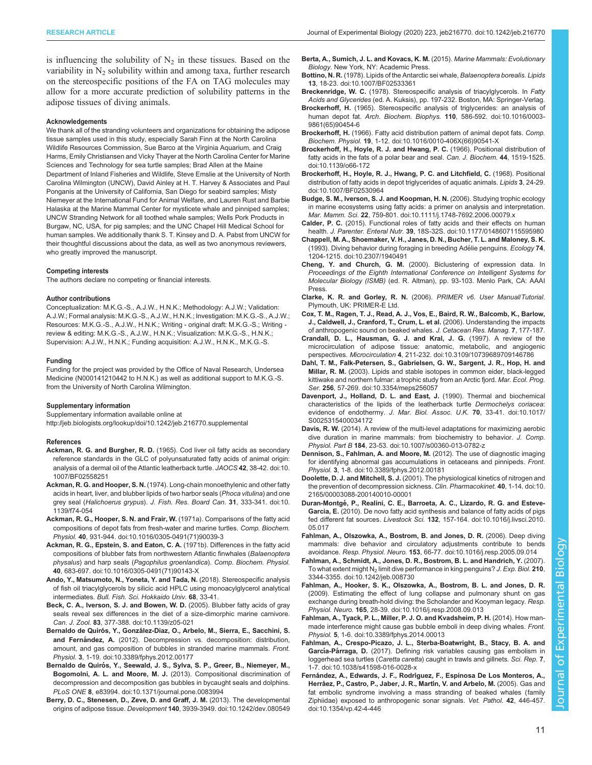<span id="page-10-0"></span>is influencing the solubility of  $N_2$  in these tissues. Based on the variability in  $N<sub>2</sub>$  solubility within and among taxa, further research on the stereospecific positions of the FA on TAG molecules may allow for a more accurate prediction of solubility patterns in the adipose tissues of diving animals.

#### Acknowledgements

We thank all of the stranding volunteers and organizations for obtaining the adipose tissue samples used in this study, especially Sarah Finn at the North Carolina Wildlife Resources Commission, Sue Barco at the Virginia Aquarium, and Craig Harms, Emily Christiansen and Vicky Thayer at the North Carolina Center for Marine Sciences and Technology for sea turtle samples; Brad Allen at the Maine Department of Inland Fisheries and Wildlife, Steve Emslie at the University of North Carolina Wilmington (UNCW), David Ainley at H. T. Harvey & Associates and Paul Ponganis at the University of California, San Diego for seabird samples; Misty Niemeyer at the International Fund for Animal Welfare, and Lauren Rust and Barbie Halaska at the Marine Mammal Center for mysticete whale and pinniped samples; UNCW Stranding Network for all toothed whale samples; Wells Pork Products in Burgaw, NC, USA, for pig samples; and the UNC Chapel Hill Medical School for human samples. We additionally thank S. T. Kinsey and D. A. Pabst from UNCW for their thoughtful discussions about the data, as well as two anonymous reviewers, who greatly improved the manuscript.

#### Competing interests

The authors declare no competing or financial interests.

#### Author contributions

Conceptualization: M.K.G.-S., A.J.W., H.N.K.; Methodology: A.J.W.; Validation: A.J.W.; Formal analysis: M.K.G.-S., A.J.W., H.N.K.; Investigation: M.K.G.-S., A.J.W.; Resources: M.K.G.-S., A.J.W., H.N.K.; Writing - original draft: M.K.G.-S.; Writing review & editing: M.K.G.-S., A.J.W., H.N.K.; Visualization: M.K.G.-S., H.N.K.; Supervision: A.J.W., H.N.K.; Funding acquisition: A.J.W., H.N.K., M.K.G.-S.

#### Funding

Funding for the project was provided by the Office of Naval Research, Undersea Medicine (N000141210442 to H.N.K.) as well as additional support to M.K.G.-S. from the University of North Carolina Wilmington.

#### Supplementary information

Supplementary information available online at <http://jeb.biologists.org/lookup/doi/10.1242/jeb.216770.supplemental>

#### References

- Ackman, R. G. and Burgher, R. D. [\(1965\). Cod liver oil fatty acids as secondary](https://doi.org/10.1007/BF02558251) [reference standards in the GLC of polyunsaturated fatty acids of animal origin:](https://doi.org/10.1007/BF02558251) [analysis of a dermal oil of the Atlantic leatherback turtle.](https://doi.org/10.1007/BF02558251) JAOCS 42, 38-42. doi:10. [1007/BF02558251](https://doi.org/10.1007/BF02558251)
- Ackman, R. G. and Hooper, S. N. [\(1974\). Long-chain monoethylenic and other fatty](https://doi.org/10.1139/f74-054) [acids in heart, liver, and blubber lipids of two harbor seals \(](https://doi.org/10.1139/f74-054)Phoca vitulina) and one grey seal (Halichoerus grypus). [J. Fish. Res. Board Can.](https://doi.org/10.1139/f74-054) 31, 333-341. doi:10. [1139/f74-054](https://doi.org/10.1139/f74-054)
- [Ackman, R. G., Hooper, S. N. and Frair, W.](https://doi.org/10.1016/0305-0491(71)90039-3) (1971a). Comparisons of the fatty acid [compositions of depot fats from fresh-water and marine turtles.](https://doi.org/10.1016/0305-0491(71)90039-3) Comp. Biochem. Physiol. 40[, 931-944. doi:10.1016/0305-0491\(71\)90039-3](https://doi.org/10.1016/0305-0491(71)90039-3)
- [Ackman, R. G., Epstein, S. and Eaton, C. A.](https://doi.org/10.1016/0305-0491(71)90143-X) (1971b). Differences in the fatty acid [compositions of blubber fats from northwestern Atlantic finwhales \(](https://doi.org/10.1016/0305-0491(71)90143-X)Balaenoptera physalus) and harp seals (Pagophilus groenlandica). [Comp. Biochem. Physiol.](https://doi.org/10.1016/0305-0491(71)90143-X) 40[, 683-697. doi:10.1016/0305-0491\(71\)90143-X](https://doi.org/10.1016/0305-0491(71)90143-X)
- Ando, Y., Matsumoto, N., Yoneta, Y. and Tada, N. (2018). Stereospecific analysis of fish oil triacylglycerols by silicic acid HPLC using monoacylglycerol analytical intermediates. Bull. Fish. Sci. Hokkaido Univ. 68, 33-41.
- [Beck, C. A., Iverson, S. J. and Bowen, W. D.](https://doi.org/10.1139/z05-021) (2005). Blubber fatty acids of gray [seals reveal sex differences in the diet of a size-dimorphic marine carnivore.](https://doi.org/10.1139/z05-021) Can. J. Zool. 83[, 377-388. doi:10.1139/z05-021](https://doi.org/10.1139/z05-021)
- Bernaldo de Quirós, Y., Gonzá[lez-Diaz, O., Arbelo, M., Sierra, E., Sacchini, S.](https://doi.org/10.3389/fphys.2012.00177) and Fernández, A. [\(2012\). Decompression vs. decomposition: distribution,](https://doi.org/10.3389/fphys.2012.00177) [amount, and gas composition of bubbles in stranded marine mammals.](https://doi.org/10.3389/fphys.2012.00177) Front. Physiol. 3[, 1-19. doi:10.3389/fphys.2012.00177](https://doi.org/10.3389/fphys.2012.00177)
- Bernaldo de Quiró[s, Y., Seewald, J. S., Sylva, S. P., Greer, B., Niemeyer, M.,](https://doi.org/10.1371/journal.pone.0083994) Bogomolni, A. L. and Moore, M. J. [\(2013\). Compositional discrimination of](https://doi.org/10.1371/journal.pone.0083994) [decompression and decomposition gas bubbles in bycaught seals and dolphins.](https://doi.org/10.1371/journal.pone.0083994) PLoS ONE 8[, e83994. doi:10.1371/journal.pone.0083994](https://doi.org/10.1371/journal.pone.0083994)
- [Berry, D. C., Stenesen, D., Zeve, D. and Graff, J. M.](https://doi.org/10.1242/dev.080549) (2013). The developmental origins of adipose tissue. Development 140[, 3939-3949. doi:10.1242/dev.080549](https://doi.org/10.1242/dev.080549)
- Berta, A., Sumich, J. L. and Kovacs, K. M. (2015). Marine Mammals: Evolutionary Biology. New York, NY: Academic Press.
- Bottino, N. R. [\(1978\). Lipids of the Antarctic sei whale,](https://doi.org/10.1007/BF02533361) Balaenoptera borealis. Lipids 13[, 18-23. doi:10.1007/BF02533361](https://doi.org/10.1007/BF02533361)
- Breckenridge, W. C. (1978). Stereospecific analysis of triacylglycerols. In Fatty Acids and Glycerides (ed. A. Kuksis), pp. 197-232. Boston, MA: Springer-Verlag.
- Brockerhoff, H. [\(1965\). Stereospecific analysis of triglycerides: an analysis of](https://doi.org/10.1016/0003-9861(65)90454-6) human depot fat. Arch. Biochem. Biophys. 110[, 586-592. doi:10.1016/0003-](https://doi.org/10.1016/0003-9861(65)90454-6) [9861\(65\)90454-6](https://doi.org/10.1016/0003-9861(65)90454-6)
- Brockerhoff, H. [\(1966\). Fatty acid distribution pattern of animal depot fats.](https://doi.org/10.1016/0010-406X(66)90541-X) Comp. Biochem. Physiol. 19[, 1-12. doi:10.1016/0010-406X\(66\)90541-X](https://doi.org/10.1016/0010-406X(66)90541-X)
- [Brockerhoff, H., Hoyle, R. J. and Hwang, P. C.](https://doi.org/10.1139/o66-172) (1966). Positional distribution of [fatty acids in the fats of a polar bear and seal.](https://doi.org/10.1139/o66-172) Can. J. Biochem. 44, 1519-1525. [doi:10.1139/o66-172](https://doi.org/10.1139/o66-172)
- [Brockerhoff, H., Hoyle, R. J., Hwang, P. C. and Litchfield, C.](https://doi.org/10.1007/BF02530964) (1968). Positional [distribution of fatty acids in depot triglycerides of aquatic animals.](https://doi.org/10.1007/BF02530964) Lipids 3, 24-29. [doi:10.1007/BF02530964](https://doi.org/10.1007/BF02530964)
- [Budge, S. M., Iverson, S. J. and Koopman, H. N.](https://doi.org/10.1111/j.1748-7692.2006.00079.x) (2006). Studying trophic ecology [in marine ecosystems using fatty acids: a primer on analysis and interpretation.](https://doi.org/10.1111/j.1748-7692.2006.00079.x) Mar. Mamm. Sci. 22[, 759-801. doi:10.1111/j.1748-7692.2006.00079.x](https://doi.org/10.1111/j.1748-7692.2006.00079.x)
- Calder, P. C. [\(2015\). Functional roles of fatty acids and their effects on human](https://doi.org/10.1177/0148607115595980) health. J. Parenter. Enteral Nutr. 39[, 18S-32S. doi:10.1177/0148607115595980](https://doi.org/10.1177/0148607115595980)
- [Chappell, M. A., Shoemaker, V. H., Janes, D. N., Bucher, T. L. and Maloney, S. K.](https://doi.org/10.2307/1940491) [\(1993\). Diving behavior during foraging in breeding Ade](https://doi.org/10.2307/1940491)́lie penguins. Ecology 74, [1204-1215. doi:10.2307/1940491](https://doi.org/10.2307/1940491)
- Cheng, Y. and Church, G. M. (2000). Biclustering of expression data. In Proceedings of the Eighth International Conference on Intelligent Systems for Molecular Biology (ISMB) (ed. R. Altman), pp. 93-103. Menlo Park, CA: AAAI Press.
- Clarke, K. R. and Gorley, R. N. (2006). PRIMER v6. User Manual/Tutorial. Plymouth, UK: PRIMER-E Ltd.
- Cox, T. M., Ragen, T. J., Read, A. J., Vos, E., Baird, R. W., Balcomb, K., Barlow, J., Caldwell, J., Cranford, T., Crum, L. et al. (2006). Understanding the impacts of anthropogenic sound on beaked whales. J. Cetacean Res. Manag. 7, 177-187.
- [Crandall, D. L., Hausman, G. J. and Kral, J. G.](https://doi.org/10.3109/10739689709146786) (1997). A review of the [microcirculation of adipose tissue: anatomic, metabolic, and angiogenic](https://doi.org/10.3109/10739689709146786) perspectives. Microcirculation 4[, 211-232. doi:10.3109/10739689709146786](https://doi.org/10.3109/10739689709146786)
- [Dahl, T. M., Falk-Petersen, S., Gabrielsen, G. W., Sargent, J. R., Hop, H. and](https://doi.org/10.3354/meps256057) Millar, R. M. [\(2003\). Lipids and stable isotopes in common eider, black-legged](https://doi.org/10.3354/meps256057) [kittiwake and northern fulmar: a trophic study from an Arctic fjord.](https://doi.org/10.3354/meps256057) Mar. Ecol. Prog. Ser. 256[, 57-269. doi:10.3354/meps256057](https://doi.org/10.3354/meps256057)
- [Davenport, J., Holland, D. L. and East, J.](https://doi.org/10.1017/S0025315400034172) (1990). Thermal and biochemical [characteristics of the lipids of the leatherback turtle](https://doi.org/10.1017/S0025315400034172) Dermochelys coriacea: evidence of endothermy. [J. Mar. Biol. Assoc. U.K.](https://doi.org/10.1017/S0025315400034172) 70, 33-41. doi:10.1017/ [S0025315400034172](https://doi.org/10.1017/S0025315400034172)
- Davis, R. W. [\(2014\). A review of the multi-level adaptations for maximizing aerobic](https://doi.org/10.1007/s00360-013-0782-z) [dive duration in marine mammals: from biochemistry to behavior.](https://doi.org/10.1007/s00360-013-0782-z) J. Comp. Physiol. Part B 184[, 23-53. doi:10.1007/s00360-013-0782-z](https://doi.org/10.1007/s00360-013-0782-z)
- [Dennison, S., Fahlman, A. and Moore, M.](https://doi.org/10.3389/fphys.2012.00181) (2012). The use of diagnostic imaging [for identifying abnormal gas accumulations in cetaceans and pinnipeds.](https://doi.org/10.3389/fphys.2012.00181) Front. Physiol. 3[, 1-8. doi:10.3389/fphys.2012.00181](https://doi.org/10.3389/fphys.2012.00181)
- Doolette, D. J. and Mitchell, S. J. [\(2001\). The physiological kinetics of nitrogen and](https://doi.org/10.2165/00003088-200140010-00001) [the prevention of decompression sickness.](https://doi.org/10.2165/00003088-200140010-00001) Clin. Pharmacokinet. 40, 1-14. doi:10. [2165/00003088-200140010-00001](https://doi.org/10.2165/00003088-200140010-00001)
- Duran-Montgé[, P., Realini, C. E., Barroeta, A. C., Lizardo, R. G. and Esteve-](https://doi.org/10.1016/j.livsci.2010.05.017)Garcia, E. [\(2010\). De novo fatty acid synthesis and balance of fatty acids of pigs](https://doi.org/10.1016/j.livsci.2010.05.017) fed different fat sources. Livestock Sci. 132[, 157-164. doi:10.1016/j.livsci.2010.](https://doi.org/10.1016/j.livsci.2010.05.017) [05.017](https://doi.org/10.1016/j.livsci.2010.05.017)
- [Fahlman, A., Olszowka, A., Bostrom, B. and Jones, D. R.](https://doi.org/10.1016/j.resp.2005.09.014) (2006). Deep diving [mammals: dive behavior and circulatory adjustments contribute to bends](https://doi.org/10.1016/j.resp.2005.09.014) avoidance. Resp. Physiol. Neuro. 153[, 66-77. doi:10.1016/j.resp.2005.09.014](https://doi.org/10.1016/j.resp.2005.09.014)
- [Fahlman, A., Schmidt, A., Jones, D. R., Bostrom, B. L. and Handrich, Y.](https://doi.org/10.1242/jeb.008730) (2007). To what extent might  $N_2$  [limit dive performance in king penguins?](https://doi.org/10.1242/jeb.008730) J. Exp. Biol. 210, [3344-3355. doi:10.1242/jeb.008730](https://doi.org/10.1242/jeb.008730)
- [Fahlman, A., Hooker, S. K., Olszowka, A., Bostrom, B. L. and Jones, D. R.](https://doi.org/10.1016/j.resp.2008.09.013) [\(2009\). Estimating the effect of lung collapse and pulmonary shunt on gas](https://doi.org/10.1016/j.resp.2008.09.013) [exchange during breath-hold diving: the Scholander and Kooyman legacy.](https://doi.org/10.1016/j.resp.2008.09.013) Resp. Physiol. Neuro. 165[, 28-39. doi:10.1016/j.resp.2008.09.013](https://doi.org/10.1016/j.resp.2008.09.013)
- [Fahlman, A., Tyack, P. L., Miller, P. J. O. and Kvadsheim, P. H.](https://doi.org/10.3389/fphys.2014.00013) (2014). How man[made interference might cause gas bubble emboli in deep diving whales.](https://doi.org/10.3389/fphys.2014.00013) Front. Physiol. 5[, 1-6. doi:10.3389/fphys.2014.00013](https://doi.org/10.3389/fphys.2014.00013)
- [Fahlman, A., Crespo-Picazo, J. L., Sterba-Boatwright, B., Stacy, B. A. and](https://doi.org/10.1038/s41598-016-0028-x) García-Párraga, D. [\(2017\). Defining risk variables causing gas embolism in](https://doi.org/10.1038/s41598-016-0028-x) loggerhead sea turtles (Caretta caretta[\) caught in trawls and gillnets.](https://doi.org/10.1038/s41598-016-0028-x) Sci. Rep. 7, [1-7. doi:10.1038/s41598-016-0028-x](https://doi.org/10.1038/s41598-016-0028-x)
- Fernández, A., Edwards, J. F., Rodrí[guez, F., Espinosa De Los Monteros, A.,](https://doi.org/10.1354/vp.42-4-446) Herrá[ez, P., Castro, P., Jaber, J. R., Mart](https://doi.org/10.1354/vp.42-4-446)ín, V. and Arbelo, M. (2005). Gas and [fat embolic syndrome involving a mass stranding of beaked whales \(family](https://doi.org/10.1354/vp.42-4-446) [Ziphiidae\) exposed to anthropogenic sonar signals.](https://doi.org/10.1354/vp.42-4-446) Vet. Pathol. 42, 446-457. [doi:10.1354/vp.42-4-446](https://doi.org/10.1354/vp.42-4-446)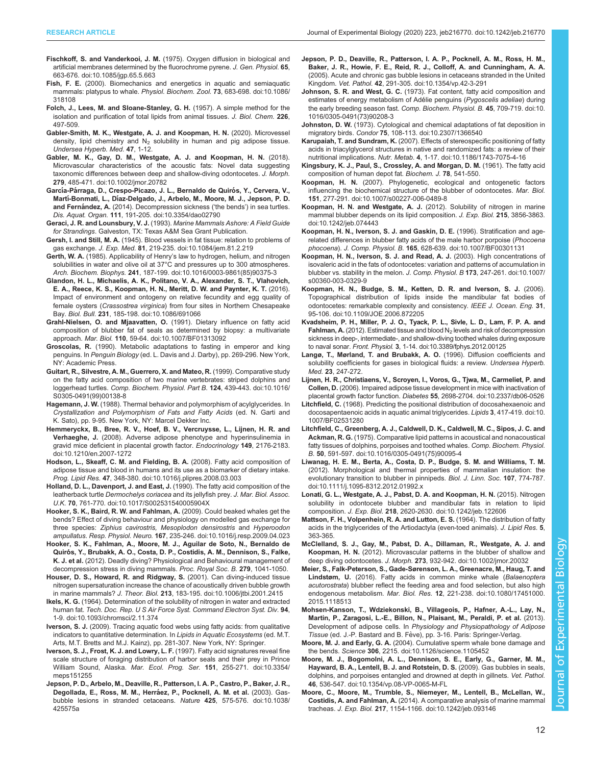- <span id="page-11-0"></span>Fischkoff, S. and Vanderkooi, J. M. [\(1975\). Oxygen diffusion in biological and](https://doi.org/10.1085/jgp.65.5.663) [artificial membranes determined by the fluorochrome pyrene.](https://doi.org/10.1085/jgp.65.5.663) J. Gen. Physiol. 65, [663-676. doi:10.1085/jgp.65.5.663](https://doi.org/10.1085/jgp.65.5.663)
- Fish, F. E. [\(2000\). Biomechanics and energetics in aquatic and semiaquatic](https://doi.org/10.1086/318108) [mammals: platypus to whale.](https://doi.org/10.1086/318108) Physiol. Biochem. Zool. 73, 683-698. doi:10.1086/ [318108](https://doi.org/10.1086/318108)
- Folch, J., Lees, M. and Sloane-Stanley, G. H. (1957). A simple method for the isolation and purification of total lipids from animal tissues. J. Biol. Chem. 226, 497-509.
- Gabler-Smith, M. K., Westgate, A. J. and Koopman, H. N. (2020). Microvessel density, lipid chemistry and  $N_2$  solubility in human and pig adipose tissue. Undersea Hyperb. Med. 47, 1-12.
- [Gabler, M. K., Gay, D. M., Westgate, A. J. and Koopman, H. N.](https://doi.org/10.1002/jmor.20782) (2018). [Microvascular characteristics of the acoustic fats: Novel data suggesting](https://doi.org/10.1002/jmor.20782) [taxonomic differences between deep and shallow-diving odontocetes.](https://doi.org/10.1002/jmor.20782) J. Morph. 279[, 485-471. doi:10.1002/jmor.20782](https://doi.org/10.1002/jmor.20782)
- García-Párraga, D., Crespo-Picazo, J. L., Bernaldo de Quirós, Y., Cervera, V., Martí-Bonmati, L., Dí[az-Delgado, J., Arbelo, M., Moore, M. J., Jepson, P. D.](https://doi.org/10.3354/dao02790) and Fernández, A. [\(2014\). Decompression sickness \(](https://doi.org/10.3354/dao02790)'the bends') in sea turtles. Dis. Aquat. Organ. 111[, 191-205. doi:10.3354/dao02790](https://doi.org/10.3354/dao02790)
- Geraci, J. R. and Lounsbury, V. J. (1993). Marine Mammals Ashore: A Field Guide for Strandings. Galveston, TX: Texas A&M Sea Grant Publication.
- Gersh, I. and Still, M. A. [\(1945\). Blood vessels in fat tissue: relation to problems of](https://doi.org/10.1084/jem.81.2.219) gas exchange. J. Exp. Med. 81[, 219-235. doi:10.1084/jem.81.2.219](https://doi.org/10.1084/jem.81.2.219)
- Gerth, W. A. (1985). Applicability of Henry'[s law to hydrogen, helium, and nitrogen](https://doi.org/10.1016/0003-9861(85)90375-3) [solubilities in water and olive oil at 37°C and pressures up to 300 atmospheres.](https://doi.org/10.1016/0003-9861(85)90375-3) Arch. Biochem. Biophys. 241[, 187-199. doi:10.1016/0003-9861\(85\)90375-3](https://doi.org/10.1016/0003-9861(85)90375-3)
- [Glandon, H. L., Michaelis, A. K., Politano, V. A., Alexander, S. T., Vlahovich,](https://doi.org/10.1086/691066) [E. A., Reece, K. S., Koopman, H. N., Meritt, D. W. and Paynter, K. T.](https://doi.org/10.1086/691066) (2016). [Impact of environment and ontogeny on relative fecundity and egg quality of](https://doi.org/10.1086/691066) female oysters (Crassostrea virginica[\) from four sites in Northern Chesapeake](https://doi.org/10.1086/691066) Bay. Biol. Bull. 231[, 185-198. doi:10.1086/691066](https://doi.org/10.1086/691066)
- [Grahl-Nielsen, O. and Mjaavatten, O.](https://doi.org/10.1007/BF01313092) (1991). Dietary influence on fatty acid [composition of blubber fat of seals as determined by biopsy: a multivariate](https://doi.org/10.1007/BF01313092) approach. Mar. Biol. 110[, 59-64. doi:10.1007/BF01313092](https://doi.org/10.1007/BF01313092)
- Groscolas, R. (1990). Metabolic adaptations to fasting in emperor and king penguins. In Penguin Biology (ed. L. Davis and J. Darby), pp. 269-296. New York, NY: Academic Press.
- [Guitart, R., Silvestre, A. M., Guerrero, X. and Mateo, R.](https://doi.org/10.1016/S0305-0491(99)00138-8) (1999). Comparative study [on the fatty acid composition of two marine vertebrates: striped dolphins and](https://doi.org/10.1016/S0305-0491(99)00138-8) loggerhead turtles. [Comp. Biochem. Physiol. Part B.](https://doi.org/10.1016/S0305-0491(99)00138-8) 124, 439-443. doi:10.1016/ [S0305-0491\(99\)00138-8](https://doi.org/10.1016/S0305-0491(99)00138-8)
- Hagemann, J. W. (1988). Thermal behavior and polymorphism of acylglycerides. In Crystallization and Polymorphism of Fats and Fatty Acids (ed. N. Garti and K. Sato), pp. 9-95. New York, NY: Marcel Dekker Inc.
- [Hemmeryckx, B., Bree, R. V., Hoef, B. V., Vercruysse, L., Lijnen, H. R. and](https://doi.org/10.1210/en.2007-1272) Verhaeghe, J. [\(2008\). Adverse adipose phenotype and hyperinsulinemia in](https://doi.org/10.1210/en.2007-1272) [gravid mice deficient in placental growth factor.](https://doi.org/10.1210/en.2007-1272) Endocrinology 149, 2176-2183. [doi:10.1210/en.2007-1272](https://doi.org/10.1210/en.2007-1272)
- [Hodson, L., Skeaff, C. M. and Fielding, B. A.](https://doi.org/10.1016/j.plipres.2008.03.003) (2008). Fatty acid composition of [adipose tissue and blood in humans and its use as a biomarker of dietary intake.](https://doi.org/10.1016/j.plipres.2008.03.003) Prog. Lipid Res. 47[, 348-380. doi:10.1016/j.plipres.2008.03.003](https://doi.org/10.1016/j.plipres.2008.03.003)
- [Holland, D. L., Davenport, J. and East, J.](https://doi.org/10.1017/S002531540005904X) (1990). The fatty acid composition of the leatherback turtle [Dermochelys coriacea](https://doi.org/10.1017/S002531540005904X) and its jellyfish prey. J. Mar. Biol. Assoc. U.K. 70[, 761-770. doi:10.1017/S002531540005904X](https://doi.org/10.1017/S002531540005904X)
- [Hooker, S. K., Baird, R. W. and Fahlman, A.](https://doi.org/10.1016/j.resp.2009.04.023) (2009). Could beaked whales get the [bends? Effect of diving behaviour and physiology on modelled gas exchange for](https://doi.org/10.1016/j.resp.2009.04.023) three species: [Ziphius cavirostris, Mesoplodon densirostris](https://doi.org/10.1016/j.resp.2009.04.023) and Hyperoodon ampullatus. Resp. Physiol. Neuro. 167[, 235-246. doi:10.1016/j.resp.2009.04.023](https://doi.org/10.1016/j.resp.2009.04.023)
- Hooker, S. K., Fahlman, A., Moore, M. J., Aguilar de Soto, N., Bernaldo de Quirós, Y., Brubakk, A. O., Costa, D. P., Costidis, A. M., Dennison, S., Falke, K. J. et al. (2012). Deadly diving? Physiological and Behavioural management of decompression stress in diving mammals. Proc. Royal Soc. B. 279, 1041-1050.
- [Houser, D. S., Howard, R. and Ridgway, S.](https://doi.org/10.1006/jtbi.2001.2415) (2001). Can diving-induced tissue [nitrogen supersaturation increase the chance of acoustically driven bubble growth](https://doi.org/10.1006/jtbi.2001.2415) in marine mammals? J. Theor. Biol. 213[, 183-195. doi:10.1006/jtbi.2001.2415](https://doi.org/10.1006/jtbi.2001.2415)
- Ikels, K. G. [\(1964\). Determination of the solubility of nitrogen in water and extracted](https://doi.org/10.1093/chromsci/2.11.374) human fat. [Tech. Doc. Rep. U S Air Force Syst. Command Electron Syst. Div.](https://doi.org/10.1093/chromsci/2.11.374) 94, [1-9. doi:10.1093/chromsci/2.11.374](https://doi.org/10.1093/chromsci/2.11.374)
- Iverson, S. J. (2009). Tracing aquatic food webs using fatty acids: from qualitative indicators to quantitative determination. In Lipids in Aquatic Ecosystems (ed. M.T. Arts, M.T. Bretts and M.J. Kainz), pp. 281-307. New York, NY: Springer.
- [Iverson, S. J., Frost, K. J. and Lowry, L. F.](https://doi.org/10.3354/meps151255) (1997). Fatty acid signatures reveal fine [scale structure of foraging distribution of harbor seals and their prey in Prince](https://doi.org/10.3354/meps151255) William Sound, Alaska. Mar. Ecol. Prog. Ser. 151[, 255-271. doi:10.3354/](https://doi.org/10.3354/meps151255) [meps151255](https://doi.org/10.3354/meps151255)
- [Jepson, P. D., Arbelo, M., Deaville, R., Patterson, I. A. P., Castro, P., Baker, J. R.,](https://doi.org/10.1038/425575a) Degollada, E., Ross, M. M., Herráez, P., Pocknell, A. M. et al. (2003). Gas[bubble lesions in stranded cetaceans.](https://doi.org/10.1038/425575a) Nature 425, 575-576. doi:10.1038/ [425575a](https://doi.org/10.1038/425575a)
- [Jepson, P. D., Deaville, R., Patterson, I. A. P., Pocknell, A. M., Ross, H. M.,](https://doi.org/10.1354/vp.42-3-291) [Baker, J. R., Howie, F. E., Reid, R. J., Colloff, A. and Cunningham, A. A.](https://doi.org/10.1354/vp.42-3-291) [\(2005\). Acute and chronic gas bubble lesions in cetaceans stranded in the United](https://doi.org/10.1354/vp.42-3-291) Kingdom. Vet. Pathol. 42[, 291-305. doi:10.1354/vp.42-3-291](https://doi.org/10.1354/vp.42-3-291)
- Johnson, S. R. and West, G. C. [\(1973\). Fat content, fatty acid composition and](https://doi.org/10.1016/0305-0491(73)90208-3) [estimates of energy metabolism of Ade](https://doi.org/10.1016/0305-0491(73)90208-3)́lie penguins (Pygoscelis adeliae) during [the early breeding season fast.](https://doi.org/10.1016/0305-0491(73)90208-3) Comp. Biochem. Physiol. B. 45, 709-719. doi:10. [1016/0305-0491\(73\)90208-3](https://doi.org/10.1016/0305-0491(73)90208-3)
- Johnston, D. W. [\(1973\). Cytological and chemical adaptations of fat deposition in](https://doi.org/10.2307/1366540) migratory birds. Condor 75[, 108-113. doi:10.2307/1366540](https://doi.org/10.2307/1366540)
- Karupaiah, T. and Sundram, K. [\(2007\). Effects of stereospecific positioning of fatty](https://doi.org/10.1186/1743-7075-4-16) [acids in triacylglycerol structures in native and randomized fats: a review of their](https://doi.org/10.1186/1743-7075-4-16) nutritional implications. Nutr. Metab. 4[, 1-17. doi:10.1186/1743-7075-4-16](https://doi.org/10.1186/1743-7075-4-16)
- Kingsbury, K. J., Paul, S., Crossley, A. and Morgan, D. M. (1961). The fatty acid composition of human depot fat. Biochem. J. 78, 541-550.
- Koopman, H. N. [\(2007\). Phylogenetic, ecological and ontogenetic factors](https://doi.org/10.1007/s00227-006-0489-8) [influencing the biochemical structure of the blubber of odontocetes.](https://doi.org/10.1007/s00227-006-0489-8) Mar. Biol. 151[, 277-291. doi:10.1007/s00227-006-0489-8](https://doi.org/10.1007/s00227-006-0489-8)
- [Koopman, H. N. and Westgate, A. J.](https://doi.org/10.1242/jeb.074443) (2012). Solubility of nitrogen in marine [mammal blubber depends on its lipid composition.](https://doi.org/10.1242/jeb.074443) J. Exp. Biol. 215, 3856-3863. [doi:10.1242/jeb.074443](https://doi.org/10.1242/jeb.074443)
- [Koopman, H. N., Iverson, S. J. and Gaskin, D. E.](https://doi.org/10.1007/BF00301131) (1996). Stratification and age[related differences in blubber fatty acids of the male harbor porpoise \(](https://doi.org/10.1007/BF00301131)Phocoena phocoena). J. Comp. Physiol. B. 165[, 628-639. doi:10.1007/BF00301131](https://doi.org/10.1007/BF00301131)
- [Koopman, H. N., Iverson, S. J. and Read, A. J.](https://doi.org/10.1007/s00360-003-0329-9) (2003). High concentrations of [isovaleric acid in the fats of odontocetes: variation and patterns of accumulation in](https://doi.org/10.1007/s00360-003-0329-9) [blubber vs. stability in the melon.](https://doi.org/10.1007/s00360-003-0329-9) J. Comp. Physiol. B 173, 247-261. doi:10.1007/ [s00360-003-0329-9](https://doi.org/10.1007/s00360-003-0329-9)
- [Koopman, H. N., Budge, S. M., Ketten, D. R. and Iverson, S. J.](https://doi.org/10.1109/JOE.2006.872205) (2006). [Topographical distribution of lipids inside the mandibular fat bodies of](https://doi.org/10.1109/JOE.2006.872205) [odontocetes: remarkable complexity and consistency.](https://doi.org/10.1109/JOE.2006.872205) IEEE J. Ocean. Eng. 31, [95-106. doi:10.1109/JOE.2006.872205](https://doi.org/10.1109/JOE.2006.872205)
- [Kvadsheim, P. H., Miller, P. J. O., Tyack, P. L., Sivle, L. D., Lam, F. P. A. and](https://doi.org/10.3389/fphys.2012.00125) Fahlman, A. (2012). Estimated tissue and blood  $N_2$  [levels and risk of decompression](https://doi.org/10.3389/fphys.2012.00125) [sickness in deep-, intermediate-, and shallow-diving toothed whales during exposure](https://doi.org/10.3389/fphys.2012.00125) to naval sonar. Front. Physiol. 3[, 1-14. doi:10.3389/fphys.2012.00125](https://doi.org/10.3389/fphys.2012.00125)
- Langø, T., Mørland, T. and Brubakk, A. O. (1996). Diffusion coefficients and solubility coefficients for gases in biological fluids: a review. Undersea Hyperb. Med. 23, 247-272.
- [Lijnen, H. R., Christiaens, V., Scroyen, I., Voros, G., Tjwa, M., Carmeliet, P. and](https://doi.org/10.2337/db06-0526) Collen, D. [\(2006\). Impaired adipose tissue development in mice with inactivation of](https://doi.org/10.2337/db06-0526) placental growth factor function. Diabetes 55[, 2698-2704. doi:10.2337/db06-0526](https://doi.org/10.2337/db06-0526)
- Litchfield, C. [\(1968\). Predicting the positional distribution of docosahexaenoic and](https://doi.org/10.1007/BF02531280) [docosapentaenoic acids in aquatic animal triglycerides.](https://doi.org/10.1007/BF02531280) Lipids 3, 417-419. doi:10. [1007/BF02531280](https://doi.org/10.1007/BF02531280)
- [Litchfield, C., Greenberg, A. J., Caldwell, D. K., Caldwell, M. C., Sipos, J. C. and](https://doi.org/10.1016/0305-0491(75)90095-4) Ackman, R. G. [\(1975\). Comparative lipid patterns in acoustical and nonacoustical](https://doi.org/10.1016/0305-0491(75)90095-4) [fatty tissues of dolphins, porpoises and toothed whales.](https://doi.org/10.1016/0305-0491(75)90095-4) Comp. Biochem. Physiol. B. 50[, 591-597. doi:10.1016/0305-0491\(75\)90095-4](https://doi.org/10.1016/0305-0491(75)90095-4)
- [Liwanag, H. E. M., Berta, A., Costa, D. P., Budge, S. M. and Williams, T. M.](https://doi.org/10.1111/j.1095-8312.2012.01992.x) [\(2012\). Morphological and thermal properties of mammalian insulation: the](https://doi.org/10.1111/j.1095-8312.2012.01992.x) [evolutionary transition to blubber in pinnipeds.](https://doi.org/10.1111/j.1095-8312.2012.01992.x) Biol. J. Linn. Soc. 107, 774-787. [doi:10.1111/j.1095-8312.2012.01992.x](https://doi.org/10.1111/j.1095-8312.2012.01992.x)
- [Lonati, G. L., Westgate, A. J., Pabst, D. A. and Koopman, H. N.](https://doi.org/10.1242/jeb.122606) (2015). Nitrogen [solubility in odontocete blubber and mandibular fats in relation to lipid](https://doi.org/10.1242/jeb.122606) composition. J. Exp. Biol. 218[, 2620-2630. doi:10.1242/jeb.122606](https://doi.org/10.1242/jeb.122606)
- Mattson, F. H., Volpenhein, R. A. and Lutton, E. S. (1964). The distribution of fatty acids in the triglycerides of the Artiodactyla (even-toed animals). J. Lipid Res. 5, 363-365.
- [McClelland, S. J., Gay, M., Pabst, D. A., Dillaman, R., Westgate, A. J. and](https://doi.org/10.1002/jmor.20032) Koopman, H. N. [\(2012\). Microvascular patterns in the blubber of shallow and](https://doi.org/10.1002/jmor.20032) deep diving odontocetes. J. Morph. 273[, 932-942. doi:10.1002/jmor.20032](https://doi.org/10.1002/jmor.20032)
- [Meier, S., Falk-Peterson, S., Gade-Sørenson, L. A., Greenacre, M., Haug, T. and](https://doi.org/10.1080/17451000.2015.1118513) Lindstøm, U. [\(2016\). Fatty acids in common minke whale \(](https://doi.org/10.1080/17451000.2015.1118513)Balaenoptera acutorostrata[\) blubber reflect the feeding area and food selection, but also high](https://doi.org/10.1080/17451000.2015.1118513) endogenous metabolism. Mar. Biol. Res. 12[, 221-238. doi:10.1080/17451000.](https://doi.org/10.1080/17451000.2015.1118513) [2015.1118513](https://doi.org/10.1080/17451000.2015.1118513)
- Mohsen-Kanson, T., Wdziekonski, B., Villageois, P., Hafner, A.-L., Lay, N., Martin, P., Zaragosi, L.-E., Billon, N., Plaisant, M., Peraldi, P. et al. (2013). Development of adipose cells. In Physiology and Physiopathology of Adipose Tissue (ed. J.-P. Bastard and B. Fève), pp. 3-16. Paris: Springer-Verlag.
- Moore, M. J. and Early, G. A. [\(2004\). Cumulative sperm whale bone damage and](https://doi.org/10.1126/science.1105452) the bends. Science 306[, 2215. doi:10.1126/science.1105452](https://doi.org/10.1126/science.1105452)
- [Moore, M. J., Bogomolni, A. L., Dennison, S. E., Early, G., Garner, M. M.,](https://doi.org/10.1354/vp.08-VP-0065-M-FL) [Hayward, B. A., Lentell, B. J. and Rotstein, D. S.](https://doi.org/10.1354/vp.08-VP-0065-M-FL) (2009). Gas bubbles in seals, [dolphins, and porpoises entangled and drowned at depth in gillnets.](https://doi.org/10.1354/vp.08-VP-0065-M-FL) Vet. Pathol. 46[, 536-547. doi:10.1354/vp.08-VP-0065-M-FL](https://doi.org/10.1354/vp.08-VP-0065-M-FL)
- [Moore, C., Moore, M., Trumble, S., Niemeyer, M., Lentell, B., McLellan, W.,](https://doi.org/10.1242/jeb.093146) Costidis, A. and Fahlman, A. [\(2014\). A comparative analysis of marine mammal](https://doi.org/10.1242/jeb.093146) tracheas. J. Exp. Biol. 217[, 1154-1166. doi:10.1242/jeb.093146](https://doi.org/10.1242/jeb.093146)